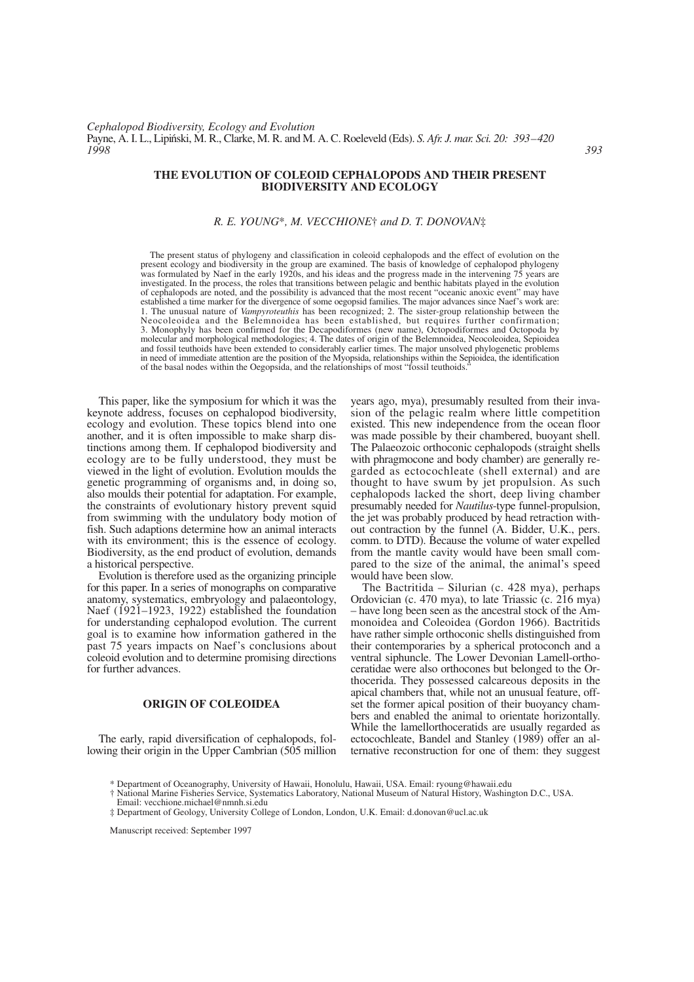## **THE EVOLUTION OF COLEOID CEPHALOPODS AND THEIR PRESENT BIODIVERSITY AND ECOLOGY**

## *R. E. YOUNG*\**, M. VECCHIONE*† *and D. T. DONOVAN*‡

The present status of phylogeny and classification in coleoid cephalopods and the effect of evolution on the present ecology and biodiversity in the group are examined. The basis of knowledge of cephalopod phylogeny was formulated by Naef in the early 1920s, and his ideas and the progress made in the intervening 75 years are investigated. In the process, the roles that transitions between pelagic and benthic habitats played in the evolution of cephalopods are noted, and the possibility is advanced that the most recent "oceanic anoxic event" may have established a time marker for the divergence of some oegopsid families. The major advances since Naef's work are:<br>1. The unusual nature of *Vampyroteuthis* has been recognized; 2. The sister-group relationship between the Neocoleoidea and the Belemnoidea has been established, but requires further confirmation; 3. Monophyly has been confirmed for the Decapodiformes (new name), Octopodiformes and Octopoda by molecular and morphological methodologies; 4. The dates of origin of the Belemnoidea, Neocoleoidea, Sepioidea and fossil teuthoids have been extended to considerably earlier times. The major unsolved phylogenetic problems in need of immediate attention are the position of the Myopsida, relationships within the Sepioidea, the identification of the basal nodes within the Oegopsida, and the relationships of most "fossil teuthoids."

This paper, like the symposium for which it was the keynote address, focuses on cephalopod biodiversity, ecology and evolution. These topics blend into one another, and it is often impossible to make sharp distinctions among them. If cephalopod biodiversity and ecology are to be fully understood, they must be viewed in the light of evolution. Evolution moulds the genetic programming of organisms and, in doing so, also moulds their potential for adaptation. For example, the constraints of evolutionary history prevent squid from swimming with the undulatory body motion of fish. Such adaptions determine how an animal interacts with its environment; this is the essence of ecology. Biodiversity, as the end product of evolution, demands a historical perspective.

Evolution is therefore used as the organizing principle for this paper. In a series of monographs on comparative anatomy, systematics, embryology and palaeontology, Naef (1921–1923, 1922) established the foundation for understanding cephalopod evolution. The current goal is to examine how information gathered in the past 75 years impacts on Naef's conclusions about coleoid evolution and to determine promising directions for further advances.

#### **ORIGIN OF COLEOIDEA**

The early, rapid diversification of cephalopods, following their origin in the Upper Cambrian (505 million years ago, mya), presumably resulted from their invasion of the pelagic realm where little competition existed. This new independence from the ocean floor was made possible by their chambered, buoyant shell. The Palaeozoic orthoconic cephalopods (straight shells with phragmocone and body chamber) are generally regarded as ectocochleate (shell external) and are thought to have swum by jet propulsion. As such cephalopods lacked the short, deep living chamber presumably needed for *Nautilus*-type funnel-propulsion, the jet was probably produced by head retraction without contraction by the funnel (A. Bidder, U.K., pers. comm. to DTD). Because the volume of water expelled from the mantle cavity would have been small compared to the size of the animal, the animal's speed would have been slow.

The Bactritida – Silurian (c. 428 mya), perhaps Ordovician (c. 470 mya), to late Triassic (c. 216 mya) – have long been seen as the ancestral stock of the Ammonoidea and Coleoidea (Gordon 1966). Bactritids have rather simple orthoconic shells distinguished from their contemporaries by a spherical protoconch and a ventral siphuncle. The Lower Devonian Lamell-orthoceratidae were also orthocones but belonged to the Orthocerida. They possessed calcareous deposits in the apical chambers that, while not an unusual feature, offset the former apical position of their buoyancy chambers and enabled the animal to orientate horizontally. While the lamellorthoceratids are usually regarded as ectocochleate, Bandel and Stanley (1989) offer an alternative reconstruction for one of them: they suggest

<sup>\*</sup> Department of Oceanography, University of Hawaii, Honolulu, Hawaii, USA. Email: ryoung@hawaii.edu

<sup>†</sup> National Marine Fisheries Service, Systematics Laboratory, National Museum of Natural History, Washington D.C., USA. Email: vecchione.michael@nmnh.si.edu

<sup>‡</sup> Department of Geology, University College of London, London, U.K. Email: d.donovan@ucl.ac.uk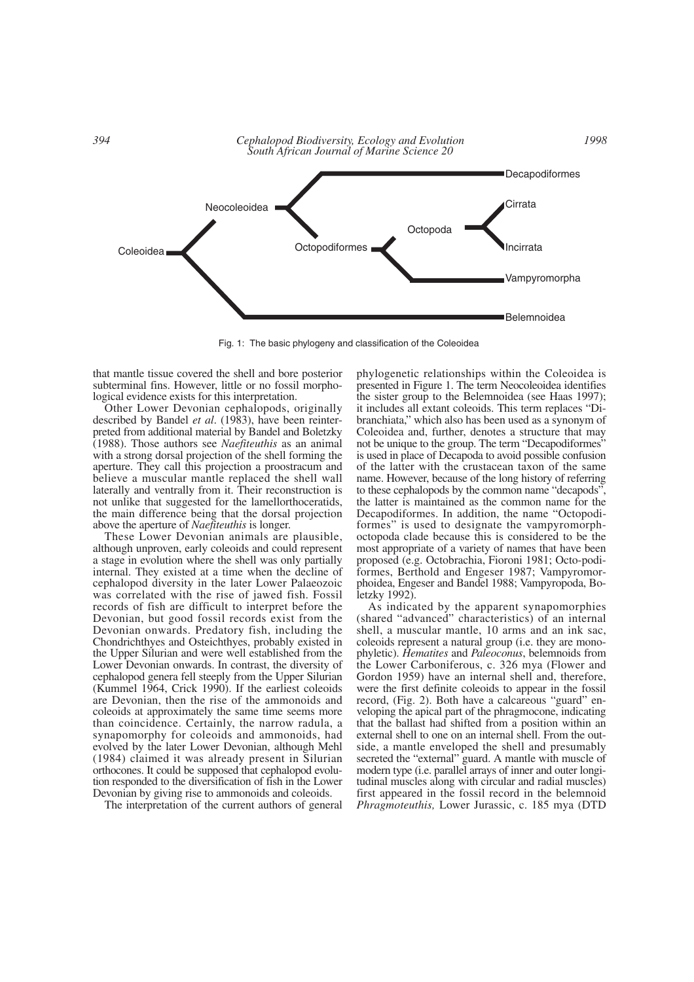

Fig. 1: The basic phylogeny and classification of the Coleoidea

that mantle tissue covered the shell and bore posterior subterminal fins. However, little or no fossil morphological evidence exists for this interpretation.

Other Lower Devonian cephalopods, originally described by Bandel *et al*. (1983), have been reinterpreted from additional material by Bandel and Boletzky (1988). Those authors see *Naefiteuthis* as an animal with a strong dorsal projection of the shell forming the aperture. They call this projection a proostracum and believe a muscular mantle replaced the shell wall laterally and ventrally from it. Their reconstruction is not unlike that suggested for the lamellorthoceratids, the main difference being that the dorsal projection above the aperture of *Naefiteuthis* is longer.

These Lower Devonian animals are plausible, although unproven, early coleoids and could represent a stage in evolution where the shell was only partially internal. They existed at a time when the decline of cephalopod diversity in the later Lower Palaeozoic was correlated with the rise of jawed fish. Fossil records of fish are difficult to interpret before the Devonian, but good fossil records exist from the Devonian onwards. Predatory fish, including the Chondrichthyes and Osteichthyes, probably existed in the Upper Silurian and were well established from the Lower Devonian onwards. In contrast, the diversity of cephalopod genera fell steeply from the Upper Silurian (Kummel 1964, Crick 1990). If the earliest coleoids are Devonian, then the rise of the ammonoids and coleoids at approximately the same time seems more than coincidence. Certainly, the narrow radula, a synapomorphy for coleoids and ammonoids, had evolved by the later Lower Devonian, although Mehl (1984) claimed it was already present in Silurian orthocones. It could be supposed that cephalopod evolution responded to the diversification of fish in the Lower Devonian by giving rise to ammonoids and coleoids.

The interpretation of the current authors of general

phylogenetic relationships within the Coleoidea is presented in Figure 1. The term Neocoleoidea identifies the sister group to the Belemnoidea (see Haas 1997); it includes all extant coleoids. This term replaces "Dibranchiata," which also has been used as a synonym of Coleoidea and, further, denotes a structure that may not be unique to the group. The term "Decapodiformes" is used in place of Decapoda to avoid possible confusion of the latter with the crustacean taxon of the same name. However, because of the long history of referring to these cephalopods by the common name "decapods", the latter is maintained as the common name for the Decapodiformes. In addition, the name "Octopodiformes" is used to designate the vampyromorphoctopoda clade because this is considered to be the most appropriate of a variety of names that have been proposed (e.g. Octobrachia, Fioroni 1981; Octo-podiformes, Berthold and Engeser 1987; Vampyromorphoidea, Engeser and Bandel 1988; Vampyropoda, Boletzky 1992).

As indicated by the apparent synapomorphies (shared "advanced" characteristics) of an internal shell, a muscular mantle, 10 arms and an ink sac, coleoids represent a natural group (i.e. they are monophyletic). *Hematites* and *Paleoconus*, belemnoids from the Lower Carboniferous, c. 326 mya (Flower and Gordon 1959) have an internal shell and, therefore, were the first definite coleoids to appear in the fossil record, (Fig. 2). Both have a calcareous "guard" enveloping the apical part of the phragmocone, indicating that the ballast had shifted from a position within an external shell to one on an internal shell. From the outside, a mantle enveloped the shell and presumably secreted the "external" guard. A mantle with muscle of modern type (i.e. parallel arrays of inner and outer longitudinal muscles along with circular and radial muscles) first appeared in the fossil record in the belemnoid *Phragmoteuthis,* Lower Jurassic, c. 185 mya (DTD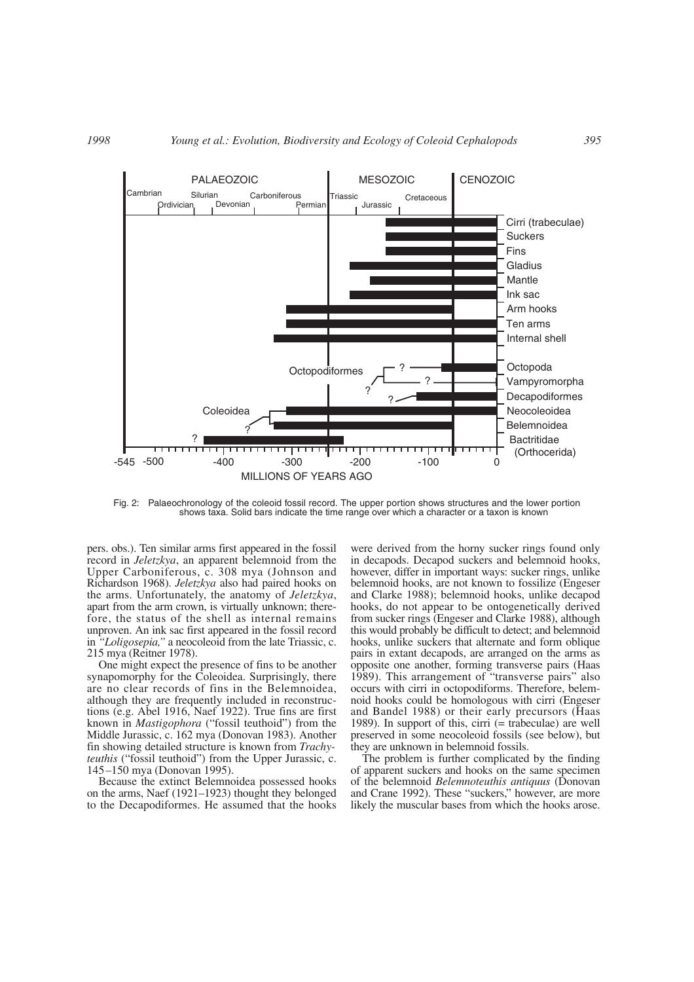

Fig. 2: Palaeochronology of the coleoid fossil record. The upper portion shows structures and the lower portion shows taxa. Solid bars indicate the time range over which a character or a taxon is known

pers. obs.). Ten similar arms first appeared in the fossil record in *Jeletzkya*, an apparent belemnoid from the Upper Carboniferous, c. 308 mya (Johnson and Richardson 1968). *Jeletzkya* also had paired hooks on the arms. Unfortunately, the anatomy of *Jeletzkya*, apart from the arm crown, is virtually unknown; therefore, the status of the shell as internal remains unproven. An ink sac first appeared in the fossil record in *"Loligosepia,"* a neocoleoid from the late Triassic, c. 215 mya (Reitner 1978).

One might expect the presence of fins to be another synapomorphy for the Coleoidea. Surprisingly, there are no clear records of fins in the Belemnoidea, although they are frequently included in reconstructions (e.g. Abel 1916, Naef 1922). True fins are first known in *Mastigophora* ("fossil teuthoid") from the Middle Jurassic, c. 162 mya (Donovan 1983). Another fin showing detailed structure is known from *Trachyteuthis* ("fossil teuthoid") from the Upper Jurassic, c. 145–150 mya (Donovan 1995).

Because the extinct Belemnoidea possessed hooks on the arms, Naef (1921–1923) thought they belonged to the Decapodiformes. He assumed that the hooks

were derived from the horny sucker rings found only in decapods. Decapod suckers and belemnoid hooks, however, differ in important ways: sucker rings, unlike belemnoid hooks, are not known to fossilize (Engeser and Clarke 1988); belemnoid hooks, unlike decapod hooks, do not appear to be ontogenetically derived from sucker rings (Engeser and Clarke 1988), although this would probably be difficult to detect; and belemnoid hooks, unlike suckers that alternate and form oblique pairs in extant decapods, are arranged on the arms as opposite one another, forming transverse pairs (Haas 1989). This arrangement of "transverse pairs" also occurs with cirri in octopodiforms. Therefore, belemnoid hooks could be homologous with cirri (Engeser and Bandel 1988) or their early precursors (Haas 1989). In support of this, cirri (= trabeculae) are well preserved in some neocoleoid fossils (see below), but they are unknown in belemnoid fossils.

The problem is further complicated by the finding of apparent suckers and hooks on the same specimen of the belemnoid *Belemnoteuthis antiquus* (Donovan and Crane 1992). These "suckers," however, are more likely the muscular bases from which the hooks arose.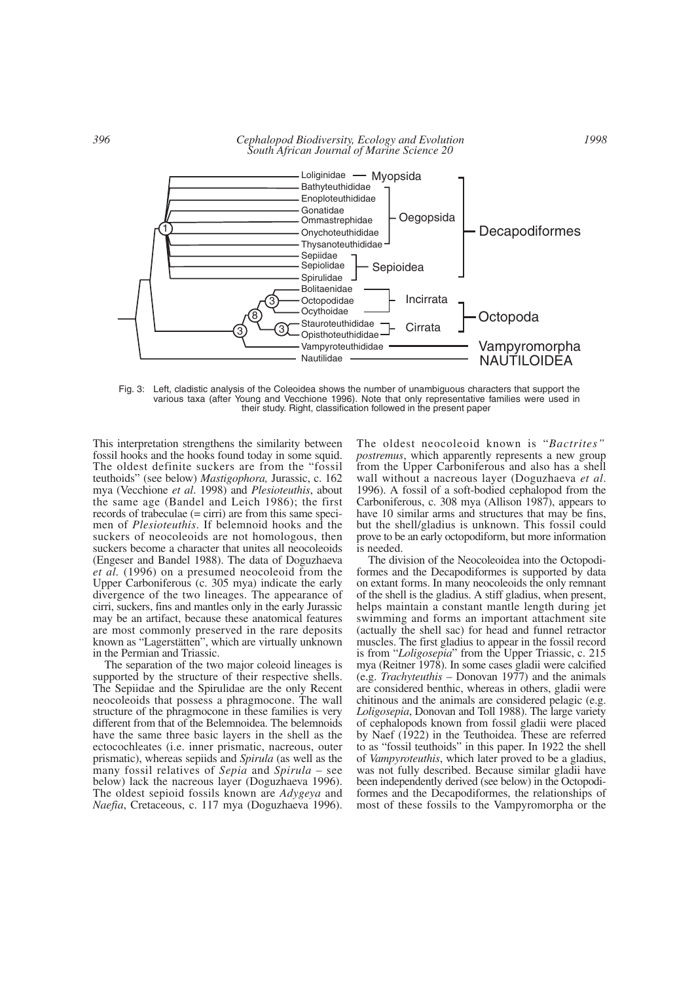*396 Cephalopod Biodiversity, Ecology and Evolution South African Journal of Marine Science 20*



Fig. 3: Left, cladistic analysis of the Coleoidea shows the number of unambiguous characters that support the various taxa (after Young and Vecchione 1996). Note that only representative families were used in their study. Right, classification followed in the present paper

This interpretation strengthens the similarity between fossil hooks and the hooks found today in some squid. The oldest definite suckers are from the "fossil teuthoids" (see below) *Mastigophora,* Jurassic, c. 162 mya (Vecchione *et al*. 1998) and *Plesioteuthis*, about the same age (Bandel and Leich 1986); the first records of trabeculae (= cirri) are from this same specimen of *Plesioteuthis*. If belemnoid hooks and the suckers of neocoleoids are not homologous, then suckers become a character that unites all neocoleoids (Engeser and Bandel 1988). The data of Doguzhaeva *et al.* (1996) on a presumed neocoleoid from the Upper Carboniferous (c. 305 mya) indicate the early divergence of the two lineages. The appearance of cirri, suckers, fins and mantles only in the early Jurassic may be an artifact, because these anatomical features are most commonly preserved in the rare deposits known as "Lagerstätten", which are virtually unknown in the Permian and Triassic.

The separation of the two major coleoid lineages is supported by the structure of their respective shells. The Sepiidae and the Spirulidae are the only Recent neocoleoids that possess a phragmocone. The wall structure of the phragmocone in these families is very different from that of the Belemnoidea. The belemnoids have the same three basic layers in the shell as the ectocochleates (i.e. inner prismatic, nacreous, outer prismatic), whereas sepiids and *Spirula* (as well as the many fossil relatives of *Sepia* and *Spirula* – see below) lack the nacreous layer (Doguzhaeva 1996). The oldest sepioid fossils known are *Adygeya* and *Naefia*, Cretaceous, c. 117 mya (Doguzhaeva 1996).

The oldest neocoleoid known is "*Bactrites" postremus*, which apparently represents a new group from the Upper Carboniferous and also has a shell wall without a nacreous layer (Doguzhaeva *et al*. 1996). A fossil of a soft-bodied cephalopod from the Carboniferous, c. 308 mya (Allison 1987), appears to have 10 similar arms and structures that may be fins, but the shell/gladius is unknown. This fossil could prove to be an early octopodiform, but more information is needed.

The division of the Neocoleoidea into the Octopodiformes and the Decapodiformes is supported by data on extant forms. In many neocoleoids the only remnant of the shell is the gladius. A stiff gladius, when present, helps maintain a constant mantle length during jet swimming and forms an important attachment site (actually the shell sac) for head and funnel retractor muscles. The first gladius to appear in the fossil record is from "*Loligosepia*" from the Upper Triassic, c. 215 mya (Reitner 1978). In some cases gladii were calcified (e.g. *Trachyteuthis* – Donovan 1977) and the animals are considered benthic, whereas in others, gladii were chitinous and the animals are considered pelagic (e.g. *Loligosepia*, Donovan and Toll 1988). The large variety of cephalopods known from fossil gladii were placed by Naef (1922) in the Teuthoidea. These are referred to as "fossil teuthoids" in this paper. In 1922 the shell of *Vampyroteuthis*, which later proved to be a gladius, was not fully described. Because similar gladii have been independently derived (see below) in the Octopodiformes and the Decapodiformes, the relationships of most of these fossils to the Vampyromorpha or the

*1998*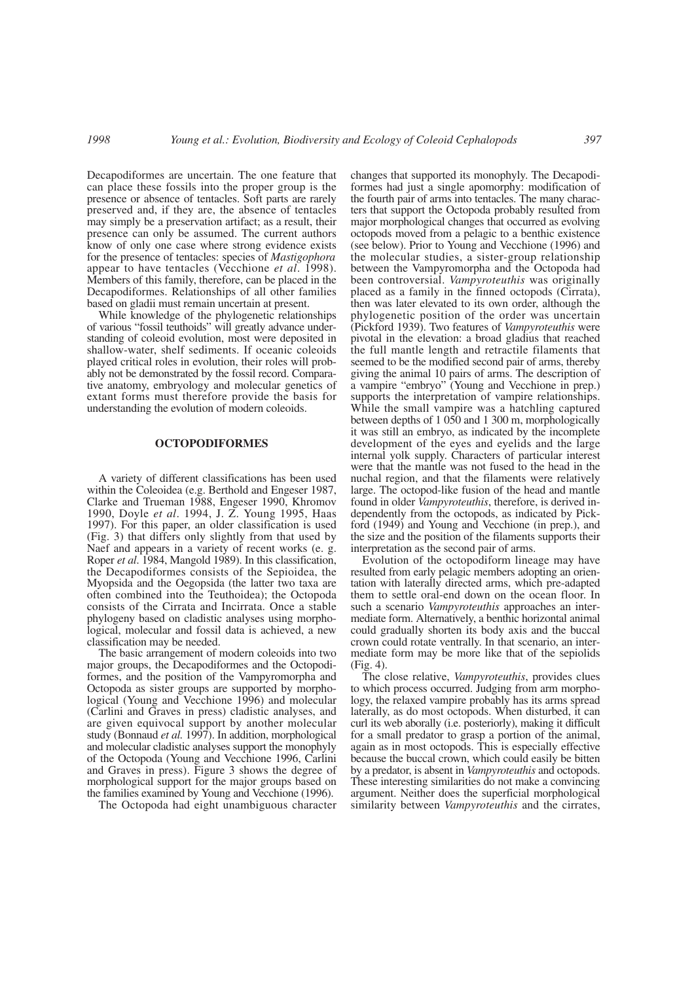Decapodiformes are uncertain. The one feature that can place these fossils into the proper group is the presence or absence of tentacles. Soft parts are rarely preserved and, if they are, the absence of tentacles may simply be a preservation artifact; as a result, their presence can only be assumed. The current authors know of only one case where strong evidence exists for the presence of tentacles: species of *Mastigophora* appear to have tentacles (Vecchione *et al*. 1998). Members of this family, therefore, can be placed in the Decapodiformes. Relationships of all other families based on gladii must remain uncertain at present.

While knowledge of the phylogenetic relationships of various "fossil teuthoids" will greatly advance understanding of coleoid evolution, most were deposited in shallow-water, shelf sediments. If oceanic coleoids played critical roles in evolution, their roles will probably not be demonstrated by the fossil record. Comparative anatomy, embryology and molecular genetics of extant forms must therefore provide the basis for understanding the evolution of modern coleoids.

#### **OCTOPODIFORMES**

A variety of different classifications has been used within the Coleoidea (e.g. Berthold and Engeser 1987, Clarke and Trueman 1988, Engeser 1990, Khromov 1990, Doyle *et al*. 1994, J. Z. Young 1995, Haas 1997). For this paper, an older classification is used (Fig. 3) that differs only slightly from that used by Naef and appears in a variety of recent works (e. g. Roper *et al*. 1984, Mangold 1989). In this classification, the Decapodiformes consists of the Sepioidea, the Myopsida and the Oegopsida (the latter two taxa are often combined into the Teuthoidea); the Octopoda consists of the Cirrata and Incirrata. Once a stable phylogeny based on cladistic analyses using morphological, molecular and fossil data is achieved, a new classification may be needed.

The basic arrangement of modern coleoids into two major groups, the Decapodiformes and the Octopodiformes, and the position of the Vampyromorpha and Octopoda as sister groups are supported by morphological (Young and Vecchione 1996) and molecular (Carlini and Graves in press) cladistic analyses, and are given equivocal support by another molecular study (Bonnaud *et al.* 1997). In addition, morphological and molecular cladistic analyses support the monophyly of the Octopoda (Young and Vecchione 1996, Carlini and Graves in press). Figure 3 shows the degree of morphological support for the major groups based on the families examined by Young and Vecchione (1996).

The Octopoda had eight unambiguous character

changes that supported its monophyly. The Decapodiformes had just a single apomorphy: modification of the fourth pair of arms into tentacles. The many characters that support the Octopoda probably resulted from major morphological changes that occurred as evolving octopods moved from a pelagic to a benthic existence (see below). Prior to Young and Vecchione (1996) and the molecular studies, a sister-group relationship between the Vampyromorpha and the Octopoda had been controversial. *Vampyroteuthis* was originally placed as a family in the finned octopods (Cirrata), then was later elevated to its own order, although the phylogenetic position of the order was uncertain (Pickford 1939). Two features of *Vampyroteuthis* were pivotal in the elevation: a broad gladius that reached the full mantle length and retractile filaments that seemed to be the modified second pair of arms, thereby giving the animal 10 pairs of arms. The description of a vampire "embryo" (Young and Vecchione in prep.) supports the interpretation of vampire relationships. While the small vampire was a hatchling captured between depths of 1 050 and 1 300 m, morphologically it was still an embryo, as indicated by the incomplete development of the eyes and eyelids and the large internal yolk supply. Characters of particular interest were that the mantle was not fused to the head in the nuchal region, and that the filaments were relatively large. The octopod-like fusion of the head and mantle found in older *Vampyroteuthis*, therefore, is derived independently from the octopods, as indicated by Pickford (1949) and Young and Vecchione (in prep.), and the size and the position of the filaments supports their interpretation as the second pair of arms.

Evolution of the octopodiform lineage may have resulted from early pelagic members adopting an orientation with laterally directed arms, which pre-adapted them to settle oral-end down on the ocean floor. In such a scenario *Vampyroteuthis* approaches an intermediate form. Alternatively, a benthic horizontal animal could gradually shorten its body axis and the buccal crown could rotate ventrally. In that scenario, an intermediate form may be more like that of the sepiolids (Fig. 4).

The close relative, *Vampyroteuthis*, provides clues to which process occurred. Judging from arm morphology, the relaxed vampire probably has its arms spread laterally, as do most octopods. When disturbed, it can curl its web aborally (i.e. posteriorly), making it difficult for a small predator to grasp a portion of the animal, again as in most octopods. This is especially effective because the buccal crown, which could easily be bitten by a predator, is absent in *Vampyroteuthis* and octopods. These interesting similarities do not make a convincing argument. Neither does the superficial morphological similarity between *Vampyroteuthis* and the cirrates,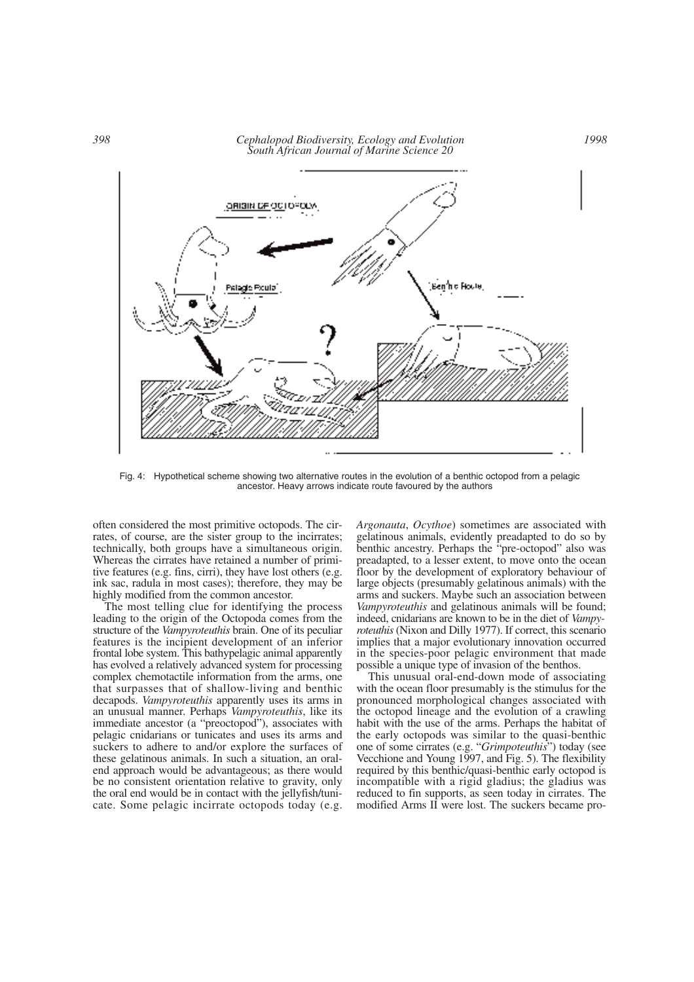

Fig. 4: Hypothetical scheme showing two alternative routes in the evolution of a benthic octopod from a pelagic ancestor. Heavy arrows indicate route favoured by the authors

often considered the most primitive octopods. The cirrates, of course, are the sister group to the incirrates; technically, both groups have a simultaneous origin. Whereas the cirrates have retained a number of primitive features (e.g. fins, cirri), they have lost others (e.g. ink sac, radula in most cases); therefore, they may be highly modified from the common ancestor.

The most telling clue for identifying the process leading to the origin of the Octopoda comes from the structure of the *Vampyroteuthis* brain. One of its peculiar features is the incipient development of an inferior frontal lobe system. This bathypelagic animal apparently has evolved a relatively advanced system for processing complex chemotactile information from the arms, one that surpasses that of shallow-living and benthic decapods. *Vampyroteuthis* apparently uses its arms in an unusual manner. Perhaps *Vampyroteuthis*, like its immediate ancestor (a "preoctopod"), associates with pelagic cnidarians or tunicates and uses its arms and suckers to adhere to and/or explore the surfaces of these gelatinous animals. In such a situation, an oralend approach would be advantageous; as there would be no consistent orientation relative to gravity, only the oral end would be in contact with the jellyfish/tunicate. Some pelagic incirrate octopods today (e.g. *Argonauta*, *Ocythoe*) sometimes are associated with gelatinous animals, evidently preadapted to do so by benthic ancestry. Perhaps the "pre-octopod" also was preadapted, to a lesser extent, to move onto the ocean floor by the development of exploratory behaviour of large objects (presumably gelatinous animals) with the arms and suckers. Maybe such an association between *Vampyroteuthis* and gelatinous animals will be found; indeed, cnidarians are known to be in the diet of *Vampyroteuthis* (Nixon and Dilly 1977). If correct, this scenario implies that a major evolutionary innovation occurred in the species-poor pelagic environment that made possible a unique type of invasion of the benthos.

This unusual oral-end-down mode of associating with the ocean floor presumably is the stimulus for the pronounced morphological changes associated with the octopod lineage and the evolution of a crawling habit with the use of the arms. Perhaps the habitat of the early octopods was similar to the quasi-benthic one of some cirrates (e.g. "*Grimpoteuthis*") today (see Vecchione and Young 1997, and Fig. 5). The flexibility required by this benthic/quasi-benthic early octopod is incompatible with a rigid gladius; the gladius was reduced to fin supports, as seen today in cirrates. The modified Arms II were lost. The suckers became pro-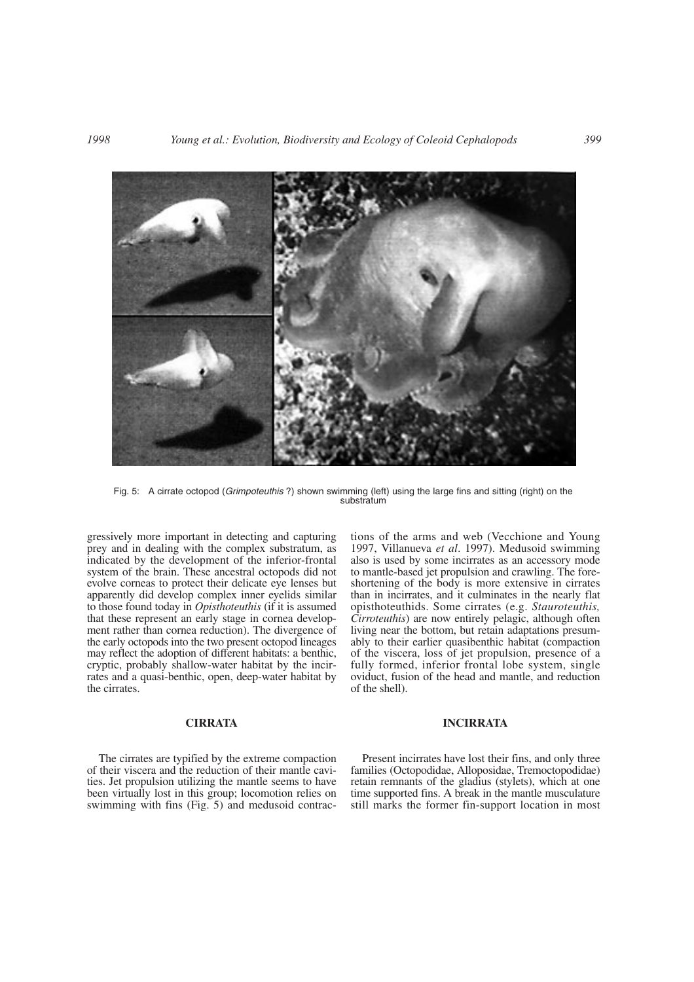

Fig. 5: A cirrate octopod (*Grimpoteuthis* ?) shown swimming (left) using the large fins and sitting (right) on the substratum

gressively more important in detecting and capturing prey and in dealing with the complex substratum, as indicated by the development of the inferior-frontal system of the brain. These ancestral octopods did not evolve corneas to protect their delicate eye lenses but apparently did develop complex inner eyelids similar to those found today in *Opisthoteuthis* (if it is assumed that these represent an early stage in cornea development rather than cornea reduction). The divergence of the early octopods into the two present octopod lineages may reflect the adoption of different habitats: a benthic, cryptic, probably shallow-water habitat by the incirrates and a quasi-benthic, open, deep-water habitat by the cirrates.

# **CIRRATA**

The cirrates are typified by the extreme compaction of their viscera and the reduction of their mantle cavities. Jet propulsion utilizing the mantle seems to have been virtually lost in this group; locomotion relies on swimming with fins (Fig. 5) and medusoid contractions of the arms and web (Vecchione and Young 1997, Villanueva *et al*. 1997). Medusoid swimming also is used by some incirrates as an accessory mode to mantle-based jet propulsion and crawling. The foreshortening of the body is more extensive in cirrates than in incirrates, and it culminates in the nearly flat opisthoteuthids. Some cirrates (e.g. *Stauroteuthis, Cirroteuthis*) are now entirely pelagic, although often living near the bottom, but retain adaptations presumably to their earlier quasibenthic habitat (compaction of the viscera, loss of jet propulsion, presence of a fully formed, inferior frontal lobe system, single oviduct, fusion of the head and mantle, and reduction of the shell).

## **INCIRRATA**

Present incirrates have lost their fins, and only three families (Octopodidae, Alloposidae, Tremoctopodidae) retain remnants of the gladius (stylets), which at one time supported fins. A break in the mantle musculature still marks the former fin-support location in most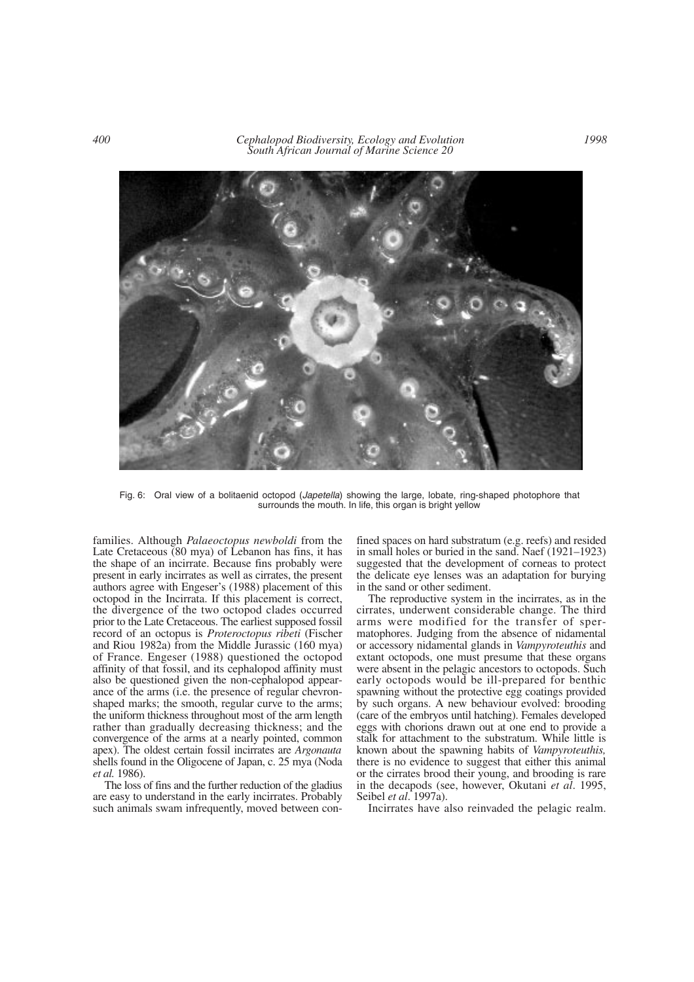*400 Cephalopod Biodiversity, Ecology and Evolution South African Journal of Marine Science 20*



Fig. 6: Oral view of a bolitaenid octopod (*Japetella*) showing the large, lobate, ring-shaped photophore that surrounds the mouth. In life, this organ is bright yellow

families. Although *Palaeoctopus newboldi* from the Late Cretaceous (80 mya) of Lebanon has fins, it has the shape of an incirrate. Because fins probably were present in early incirrates as well as cirrates, the present authors agree with Engeser's (1988) placement of this octopod in the Incirrata. If this placement is correct, the divergence of the two octopod clades occurred prior to the Late Cretaceous. The earliest supposed fossil record of an octopus is *Proteroctopus ribeti* (Fischer and Riou 1982a) from the Middle Jurassic (160 mya) of France. Engeser (1988) questioned the octopod affinity of that fossil, and its cephalopod affinity must also be questioned given the non-cephalopod appearance of the arms (i.e. the presence of regular chevronshaped marks; the smooth, regular curve to the arms; the uniform thickness throughout most of the arm length rather than gradually decreasing thickness; and the convergence of the arms at a nearly pointed, common apex). The oldest certain fossil incirrates are *Argonauta* shells found in the Oligocene of Japan, c. 25 mya (Noda *et al.* 1986).

The loss of fins and the further reduction of the gladius are easy to understand in the early incirrates. Probably such animals swam infrequently, moved between confined spaces on hard substratum (e.g. reefs) and resided in small holes or buried in the sand. Naef (1921–1923) suggested that the development of corneas to protect the delicate eye lenses was an adaptation for burying in the sand or other sediment.

The reproductive system in the incirrates, as in the cirrates, underwent considerable change. The third arms were modified for the transfer of spermatophores. Judging from the absence of nidamental or accessory nidamental glands in *Vampyroteuthis* and extant octopods, one must presume that these organs were absent in the pelagic ancestors to octopods. Such early octopods would be ill-prepared for benthic spawning without the protective egg coatings provided by such organs. A new behaviour evolved: brooding (care of the embryos until hatching). Females developed eggs with chorions drawn out at one end to provide a stalk for attachment to the substratum. While little is known about the spawning habits of *Vampyroteuthis,* there is no evidence to suggest that either this animal or the cirrates brood their young, and brooding is rare in the decapods (see, however, Okutani *et al*. 1995, Seibel *et al*. 1997a).

Incirrates have also reinvaded the pelagic realm.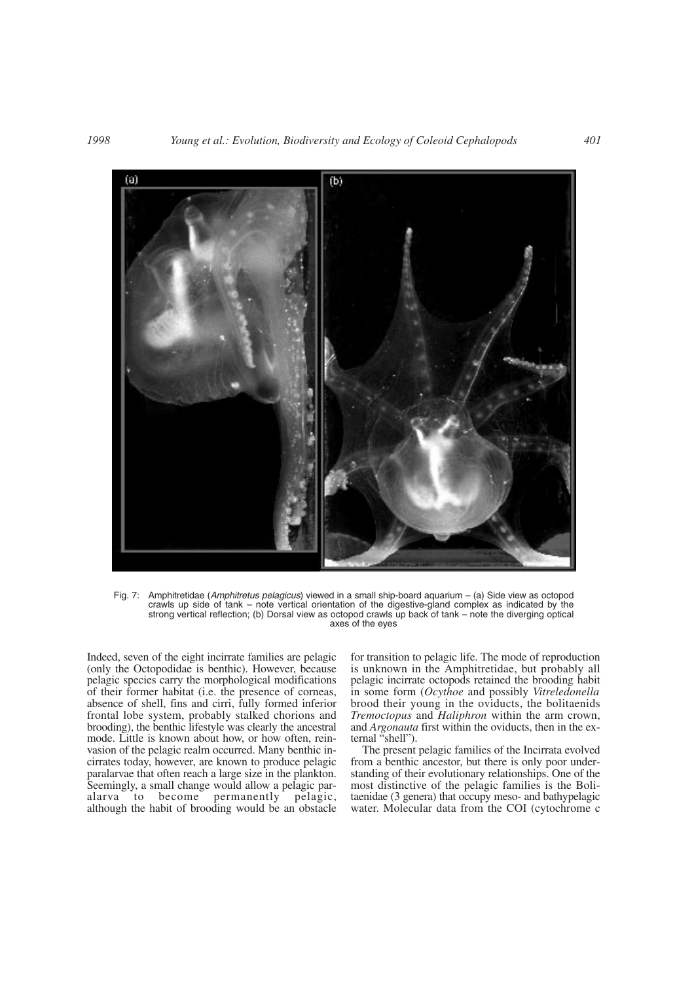

Fig. 7: Amphitretidae (*Amphitretus pelagicus*) viewed in a small ship-board aquarium – (a) Side view as octopod crawls up side of tank – note vertical orientation of the digestive-gland complex as indicated by the strong vertical reflection; (b) Dorsal view as octopod crawls up back of tank – note the diverging optical axes of the eyes

Indeed, seven of the eight incirrate families are pelagic (only the Octopodidae is benthic). However, because pelagic species carry the morphological modifications of their former habitat (i.e. the presence of corneas, absence of shell, fins and cirri, fully formed inferior frontal lobe system, probably stalked chorions and brooding), the benthic lifestyle was clearly the ancestral mode. Little is known about how, or how often, reinvasion of the pelagic realm occurred. Many benthic incirrates today, however, are known to produce pelagic paralarvae that often reach a large size in the plankton. Seemingly, a small change would allow a pelagic par-<br>alarva to become permanently pelagic, alarva to become permanently pelagic, although the habit of brooding would be an obstacle for transition to pelagic life. The mode of reproduction is unknown in the Amphitretidae, but probably all pelagic incirrate octopods retained the brooding habit in some form (*Ocythoe* and possibly *Vitreledonella* brood their young in the oviducts, the bolitaenids *Tremoctopus* and *Haliphron* within the arm crown, and *Argonauta* first within the oviducts, then in the external "shell").

The present pelagic families of the Incirrata evolved from a benthic ancestor, but there is only poor understanding of their evolutionary relationships. One of the most distinctive of the pelagic families is the Bolitaenidae (3 genera) that occupy meso- and bathypelagic water. Molecular data from the COI (cytochrome c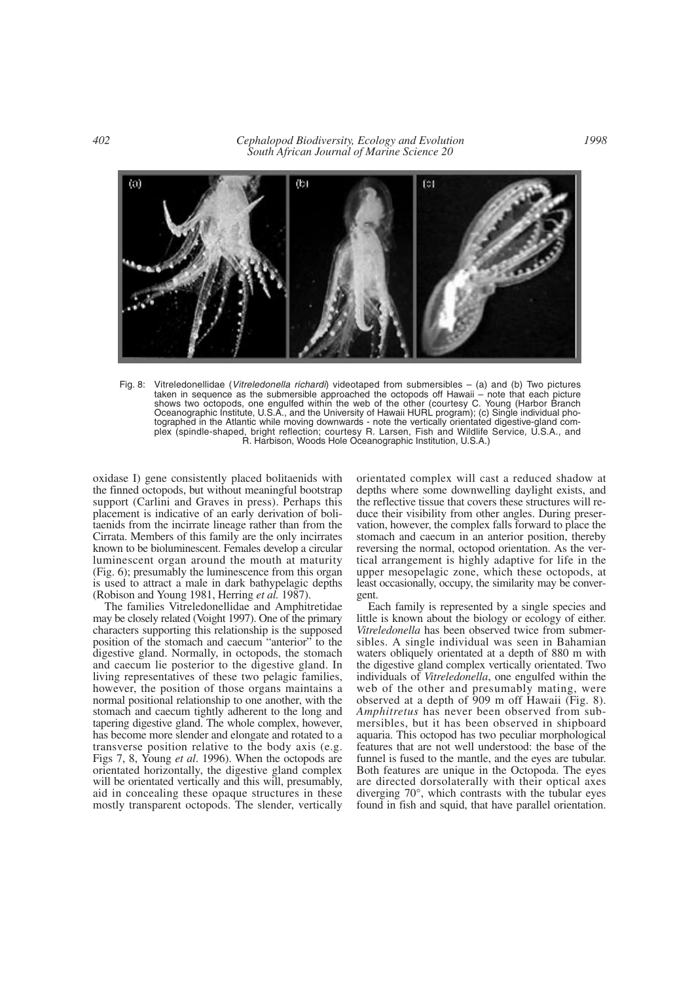*402 Cephalopod Biodiversity, Ecology and Evolution South African Journal of Marine Science 20*



Fig. 8: Vitreledonellidae (*Vitreledonella richardi*) videotaped from submersibles – (a) and (b) Two pictures taken in sequence as the submersible approached the octopods off Hawaii – note that each picture shows two octopods, one engulfed within the web of the other (courtesy C. Young (Harbor Branch Oceanographic Institute, U.S.A., and the University of Hawaii HURL program); (c) Single individual photographed in the Atlantic while moving downwards - note the vertically orientated digestive-gland complex (spindle-shaped, bright reflection; courtesy R. Larsen, Fish and Wildlife Service, U.S.A., and R. Harbison, Woods Hole Oceanographic Institution, U.S.A.)

oxidase I) gene consistently placed bolitaenids with the finned octopods, but without meaningful bootstrap support (Carlini and Graves in press). Perhaps this placement is indicative of an early derivation of bolitaenids from the incirrate lineage rather than from the Cirrata. Members of this family are the only incirrates known to be bioluminescent. Females develop a circular luminescent organ around the mouth at maturity (Fig. 6); presumably the luminescence from this organ is used to attract a male in dark bathypelagic depths (Robison and Young 1981, Herring *et al.* 1987).

The families Vitreledonellidae and Amphitretidae may be closely related (Voight 1997). One of the primary characters supporting this relationship is the supposed position of the stomach and caecum "anterior" to the digestive gland. Normally, in octopods, the stomach and caecum lie posterior to the digestive gland. In living representatives of these two pelagic families, however, the position of those organs maintains a normal positional relationship to one another, with the stomach and caecum tightly adherent to the long and tapering digestive gland. The whole complex, however, has become more slender and elongate and rotated to a transverse position relative to the body axis (e.g. Figs 7, 8, Young *et al*. 1996). When the octopods are orientated horizontally, the digestive gland complex will be orientated vertically and this will, presumably, aid in concealing these opaque structures in these mostly transparent octopods. The slender, vertically orientated complex will cast a reduced shadow at depths where some downwelling daylight exists, and the reflective tissue that covers these structures will reduce their visibility from other angles. During preservation, however, the complex falls forward to place the stomach and caecum in an anterior position, thereby reversing the normal, octopod orientation. As the vertical arrangement is highly adaptive for life in the upper mesopelagic zone, which these octopods, at least occasionally, occupy, the similarity may be convergent.

Each family is represented by a single species and little is known about the biology or ecology of either. *Vitreledonella* has been observed twice from submersibles. A single individual was seen in Bahamian waters obliquely orientated at a depth of 880 m with the digestive gland complex vertically orientated. Two individuals of *Vitreledonella*, one engulfed within the web of the other and presumably mating, were observed at a depth of 909 m off Hawaii (Fig. 8). *Amphitretus* has never been observed from submersibles, but it has been observed in shipboard aquaria. This octopod has two peculiar morphological features that are not well understood: the base of the funnel is fused to the mantle, and the eyes are tubular. Both features are unique in the Octopoda. The eyes are directed dorsolaterally with their optical axes diverging 70°, which contrasts with the tubular eyes found in fish and squid, that have parallel orientation.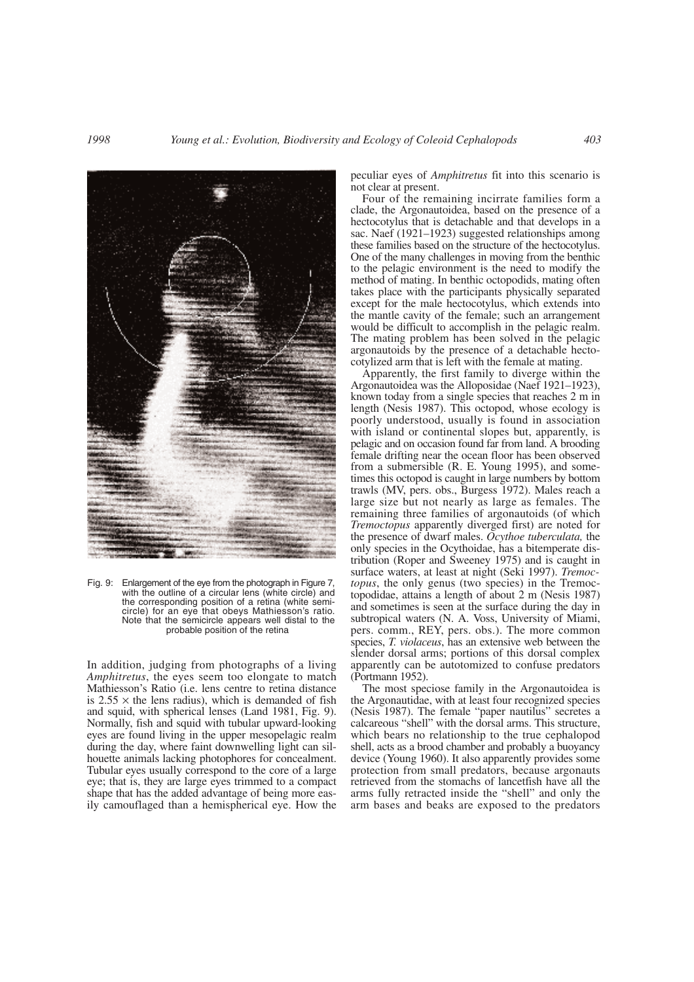

Fig. 9: Enlargement of the eye from the photograph in Figure 7, with the outline of a circular lens (white circle) and the corresponding position of a retina (white semicircle) for an eye that obeys Mathiesson's ratio. Note that the semicircle appears well distal to the probable position of the retina

In addition, judging from photographs of a living *Amphitretus*, the eyes seem too elongate to match Mathiesson's Ratio (i.e. lens centre to retina distance is  $2.55 \times$  the lens radius), which is demanded of fish and squid, with spherical lenses (Land 1981, Fig. 9). Normally, fish and squid with tubular upward-looking eyes are found living in the upper mesopelagic realm during the day, where faint downwelling light can silhouette animals lacking photophores for concealment. Tubular eyes usually correspond to the core of a large eye; that is, they are large eyes trimmed to a compact shape that has the added advantage of being more easily camouflaged than a hemispherical eye. How the

peculiar eyes of *Amphitretus* fit into this scenario is not clear at present.

Four of the remaining incirrate families form a clade, the Argonautoidea, based on the presence of a hectocotylus that is detachable and that develops in a sac. Naef (1921–1923) suggested relationships among these families based on the structure of the hectocotylus. One of the many challenges in moving from the benthic to the pelagic environment is the need to modify the method of mating. In benthic octopodids, mating often takes place with the participants physically separated except for the male hectocotylus, which extends into the mantle cavity of the female; such an arrangement would be difficult to accomplish in the pelagic realm. The mating problem has been solved in the pelagic argonautoids by the presence of a detachable hectocotylized arm that is left with the female at mating.

Apparently, the first family to diverge within the Argonautoidea was the Alloposidae (Naef 1921–1923), known today from a single species that reaches 2 m in length (Nesis 1987). This octopod, whose ecology is poorly understood, usually is found in association with island or continental slopes but, apparently, is pelagic and on occasion found far from land. A brooding female drifting near the ocean floor has been observed from a submersible (R. E. Young 1995), and sometimes this octopod is caught in large numbers by bottom trawls (MV, pers. obs., Burgess 1972). Males reach a large size but not nearly as large as females. The remaining three families of argonautoids (of which *Tremoctopus* apparently diverged first) are noted for the presence of dwarf males. *Ocythoe tuberculata,* the only species in the Ocythoidae, has a bitemperate distribution (Roper and Sweeney 1975) and is caught in surface waters, at least at night (Seki 1997). *Tremoctopus*, the only genus (two species) in the Tremoctopodidae, attains a length of about 2 m (Nesis 1987) and sometimes is seen at the surface during the day in subtropical waters (N. A. Voss, University of Miami, pers. comm., REY, pers. obs.). The more common species, *T. violaceus*, has an extensive web between the slender dorsal arms; portions of this dorsal complex apparently can be autotomized to confuse predators (Portmann 1952).

The most speciose family in the Argonautoidea is the Argonautidae, with at least four recognized species (Nesis 1987). The female "paper nautilus" secretes a calcareous "shell" with the dorsal arms. This structure, which bears no relationship to the true cephalopod shell, acts as a brood chamber and probably a buoyancy device (Young 1960). It also apparently provides some protection from small predators, because argonauts retrieved from the stomachs of lancetfish have all the arms fully retracted inside the "shell" and only the arm bases and beaks are exposed to the predators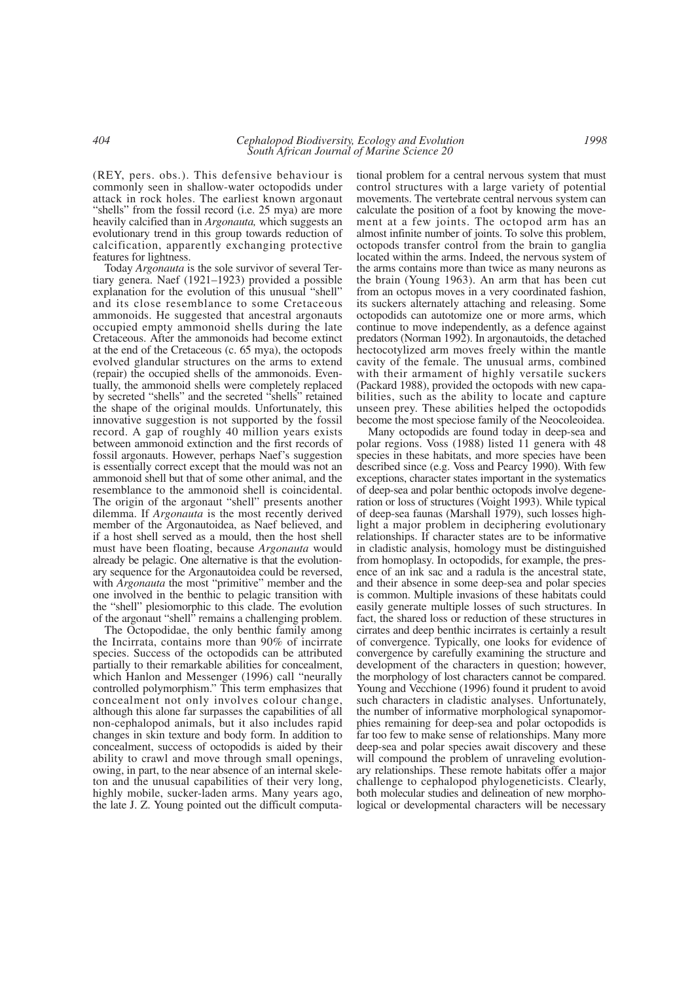(REY, pers. obs.). This defensive behaviour is commonly seen in shallow-water octopodids under attack in rock holes. The earliest known argonaut "shells" from the fossil record (i.e. 25 mya) are more heavily calcified than in *Argonauta,* which suggests an evolutionary trend in this group towards reduction of calcification, apparently exchanging protective features for lightness.

Today *Argonauta* is the sole survivor of several Tertiary genera. Naef (1921–1923) provided a possible explanation for the evolution of this unusual "shell" and its close resemblance to some Cretaceous ammonoids. He suggested that ancestral argonauts occupied empty ammonoid shells during the late Cretaceous. After the ammonoids had become extinct at the end of the Cretaceous (c. 65 mya), the octopods evolved glandular structures on the arms to extend (repair) the occupied shells of the ammonoids. Eventually, the ammonoid shells were completely replaced by secreted "shells" and the secreted "shells" retained the shape of the original moulds. Unfortunately, this innovative suggestion is not supported by the fossil record. A gap of roughly 40 million years exists between ammonoid extinction and the first records of fossil argonauts. However, perhaps Naef's suggestion is essentially correct except that the mould was not an ammonoid shell but that of some other animal, and the resemblance to the ammonoid shell is coincidental. The origin of the argonaut "shell" presents another dilemma. If *Argonauta* is the most recently derived member of the Argonautoidea, as Naef believed, and if a host shell served as a mould, then the host shell must have been floating, because *Argonauta* would already be pelagic. One alternative is that the evolutionary sequence for the Argonautoidea could be reversed, with *Argonauta* the most "primitive" member and the one involved in the benthic to pelagic transition with the "shell" plesiomorphic to this clade. The evolution of the argonaut "shell" remains a challenging problem.

The Octopodidae, the only benthic family among the Incirrata, contains more than 90% of incirrate species. Success of the octopodids can be attributed partially to their remarkable abilities for concealment, which Hanlon and Messenger (1996) call "neurally controlled polymorphism." This term emphasizes that concealment not only involves colour change, although this alone far surpasses the capabilities of all non-cephalopod animals, but it also includes rapid changes in skin texture and body form. In addition to concealment, success of octopodids is aided by their ability to crawl and move through small openings, owing, in part, to the near absence of an internal skeleton and the unusual capabilities of their very long, highly mobile, sucker-laden arms. Many years ago, the late J. Z. Young pointed out the difficult computational problem for a central nervous system that must control structures with a large variety of potential movements. The vertebrate central nervous system can calculate the position of a foot by knowing the movement at a few joints. The octopod arm has an almost infinite number of joints. To solve this problem, octopods transfer control from the brain to ganglia located within the arms. Indeed, the nervous system of the arms contains more than twice as many neurons as the brain (Young 1963). An arm that has been cut from an octopus moves in a very coordinated fashion, its suckers alternately attaching and releasing. Some octopodids can autotomize one or more arms, which continue to move independently, as a defence against predators (Norman 1992). In argonautoids, the detached hectocotylized arm moves freely within the mantle cavity of the female. The unusual arms, combined with their armament of highly versatile suckers (Packard 1988), provided the octopods with new capabilities, such as the ability to locate and capture unseen prey. These abilities helped the octopodids become the most speciose family of the Neocoleoidea.

Many octopodids are found today in deep-sea and polar regions. Voss (1988) listed 11 genera with 48 species in these habitats, and more species have been described since (e.g. Voss and Pearcy 1990). With few exceptions, character states important in the systematics of deep-sea and polar benthic octopods involve degeneration or loss of structures (Voight 1993). While typical of deep-sea faunas (Marshall 1979), such losses highlight a major problem in deciphering evolutionary relationships. If character states are to be informative in cladistic analysis, homology must be distinguished from homoplasy. In octopodids, for example, the presence of an ink sac and a radula is the ancestral state, and their absence in some deep-sea and polar species is common. Multiple invasions of these habitats could easily generate multiple losses of such structures. In fact, the shared loss or reduction of these structures in cirrates and deep benthic incirrates is certainly a result of convergence. Typically, one looks for evidence of convergence by carefully examining the structure and development of the characters in question; however, the morphology of lost characters cannot be compared. Young and Vecchione (1996) found it prudent to avoid such characters in cladistic analyses. Unfortunately, the number of informative morphological synapomorphies remaining for deep-sea and polar octopodids is far too few to make sense of relationships. Many more deep-sea and polar species await discovery and these will compound the problem of unraveling evolutionary relationships. These remote habitats offer a major challenge to cephalopod phylogeneticists. Clearly, both molecular studies and delineation of new morphological or developmental characters will be necessary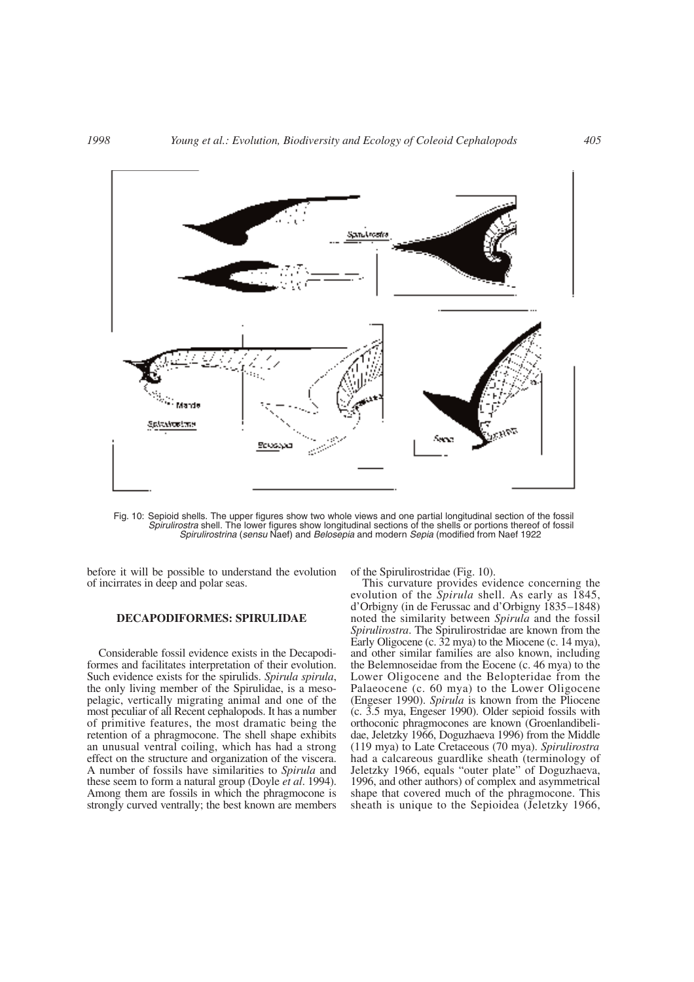

Fig. 10: Sepioid shells. The upper figures show two whole views and one partial longitudinal section of the fossil *Spirulirostra* shell. The lower figures show longitudinal sections of the shells or portions thereof of fossil *Spirulirostrina* (*sensu* Naef) and *Belosepia* and modern *Sepia* (modified from Naef 1922

before it will be possible to understand the evolution of incirrates in deep and polar seas.

#### **DECAPODIFORMES: SPIRULIDAE**

Considerable fossil evidence exists in the Decapodiformes and facilitates interpretation of their evolution. Such evidence exists for the spirulids. *Spirula spirula*, the only living member of the Spirulidae, is a mesopelagic, vertically migrating animal and one of the most peculiar of all Recent cephalopods. It has a number of primitive features, the most dramatic being the retention of a phragmocone. The shell shape exhibits an unusual ventral coiling, which has had a strong effect on the structure and organization of the viscera. A number of fossils have similarities to *Spirula* and these seem to form a natural group (Doyle *et al*. 1994). Among them are fossils in which the phragmocone is strongly curved ventrally; the best known are members

of the Spirulirostridae (Fig. 10).

This curvature provides evidence concerning the evolution of the *Spirula* shell. As early as 1845, d'Orbigny (in de Ferussac and d'Orbigny 1835–1848) noted the similarity between *Spirula* and the fossil *Spirulirostra*. The Spirulirostridae are known from the Early Oligocene (c. 32 mya) to the Miocene (c. 14 mya), and other similar families are also known, including the Belemnoseidae from the Eocene (c. 46 mya) to the Lower Oligocene and the Belopteridae from the Palaeocene (c. 60 mya) to the Lower Oligocene (Engeser 1990). *Spirula* is known from the Pliocene (c. 3.5 mya, Engeser 1990). Older sepioid fossils with orthoconic phragmocones are known (Groenlandibelidae, Jeletzky 1966, Doguzhaeva 1996) from the Middle (119 mya) to Late Cretaceous (70 mya). *Spirulirostra* had a calcareous guardlike sheath (terminology of Jeletzky 1966, equals "outer plate" of Doguzhaeva, 1996, and other authors) of complex and asymmetrical shape that covered much of the phragmocone. This sheath is unique to the Sepioidea (Jeletzky 1966,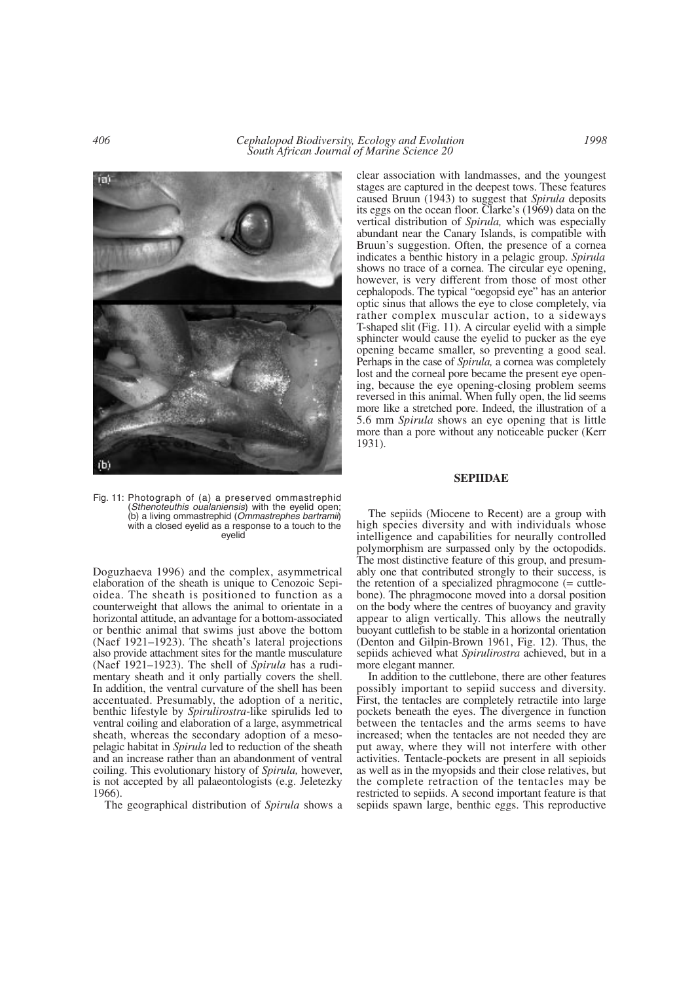

Fig. 11: Photograph of (a) a preserved ommastrephid (*Sthenoteuthis oualaniensis*) with the eyelid open; (b) a living ommastrephid (*Ommastrephes bartramii*) with a closed eyelid as a response to a touch to the eyelid

Doguzhaeva 1996) and the complex, asymmetrical elaboration of the sheath is unique to Cenozoic Sepioidea. The sheath is positioned to function as a counterweight that allows the animal to orientate in a horizontal attitude, an advantage for a bottom-associated or benthic animal that swims just above the bottom (Naef 1921–1923). The sheath's lateral projections also provide attachment sites for the mantle musculature (Naef 1921–1923). The shell of *Spirula* has a rudimentary sheath and it only partially covers the shell. In addition, the ventral curvature of the shell has been accentuated. Presumably, the adoption of a neritic, benthic lifestyle by *Spirulirostra*-like spirulids led to ventral coiling and elaboration of a large, asymmetrical sheath, whereas the secondary adoption of a mesopelagic habitat in *Spirula* led to reduction of the sheath and an increase rather than an abandonment of ventral coiling. This evolutionary history of *Spirula,* however, is not accepted by all palaeontologists (e.g. Jeletezky 1966).

The geographical distribution of *Spirula* shows a

clear association with landmasses, and the youngest stages are captured in the deepest tows. These features caused Bruun (1943) to suggest that *Spirula* deposits its eggs on the ocean floor. Clarke's (1969) data on the vertical distribution of *Spirula,* which was especially abundant near the Canary Islands, is compatible with Bruun's suggestion. Often, the presence of a cornea indicates a benthic history in a pelagic group. *Spirula* shows no trace of a cornea. The circular eye opening, however, is very different from those of most other cephalopods. The typical "oegopsid eye" has an anterior optic sinus that allows the eye to close completely, via rather complex muscular action, to a sideways T-shaped slit (Fig. 11). A circular eyelid with a simple sphincter would cause the eyelid to pucker as the eye opening became smaller, so preventing a good seal. Perhaps in the case of *Spirula,* a cornea was completely lost and the corneal pore became the present eye opening, because the eye opening-closing problem seems reversed in this animal. When fully open, the lid seems more like a stretched pore. Indeed, the illustration of a 5.6 mm *Spirula* shows an eye opening that is little more than a pore without any noticeable pucker (Kerr 1931).

#### **SEPIIDAE**

The sepiids (Miocene to Recent) are a group with high species diversity and with individuals whose intelligence and capabilities for neurally controlled polymorphism are surpassed only by the octopodids. The most distinctive feature of this group, and presumably one that contributed strongly to their success, is the retention of a specialized phragmocone (= cuttlebone). The phragmocone moved into a dorsal position on the body where the centres of buoyancy and gravity appear to align vertically. This allows the neutrally buoyant cuttlefish to be stable in a horizontal orientation (Denton and Gilpin-Brown 1961, Fig. 12). Thus, the sepiids achieved what *Spirulirostra* achieved, but in a more elegant manner.

In addition to the cuttlebone, there are other features possibly important to sepiid success and diversity. First, the tentacles are completely retractile into large pockets beneath the eyes. The divergence in function between the tentacles and the arms seems to have increased; when the tentacles are not needed they are put away, where they will not interfere with other activities. Tentacle-pockets are present in all sepioids as well as in the myopsids and their close relatives, but the complete retraction of the tentacles may be restricted to sepiids. A second important feature is that sepiids spawn large, benthic eggs. This reproductive

*1998*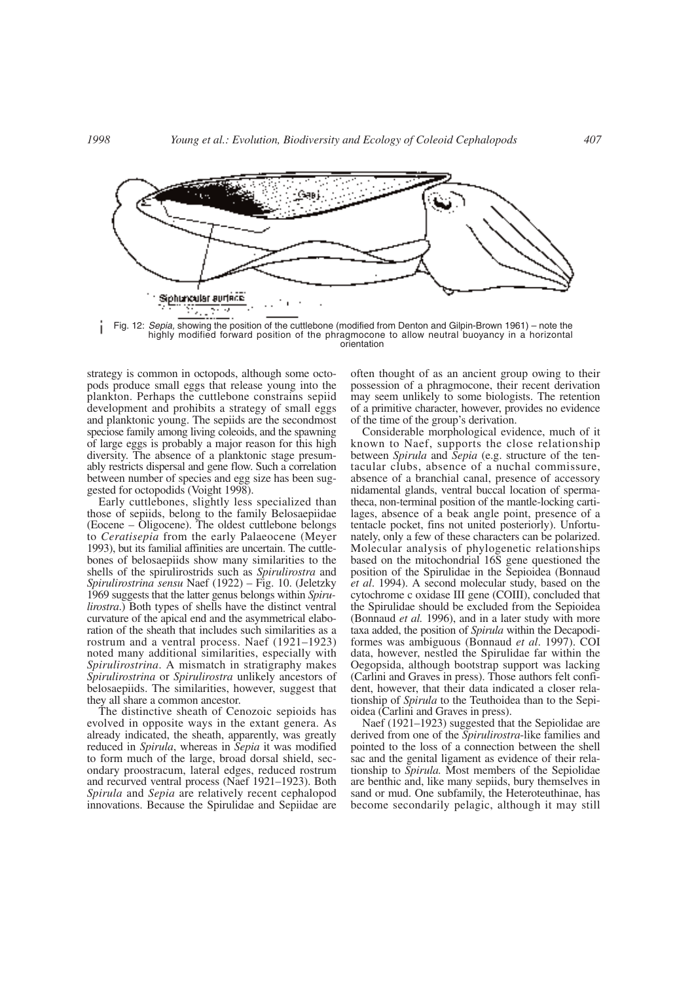





strategy is common in octopods, although some octopods produce small eggs that release young into the plankton. Perhaps the cuttlebone constrains sepiid development and prohibits a strategy of small eggs and planktonic young. The sepiids are the secondmost speciose family among living coleoids, and the spawning of large eggs is probably a major reason for this high diversity. The absence of a planktonic stage presumably restricts dispersal and gene flow. Such a correlation between number of species and egg size has been suggested for octopodids (Voight 1998).

Early cuttlebones, slightly less specialized than those of sepiids, belong to the family Belosaepiidae (Eocene – Oligocene). The oldest cuttlebone belongs to *Ceratisepia* from the early Palaeocene (Meyer 1993), but its familial affinities are uncertain. The cuttlebones of belosaepiids show many similarities to the shells of the spirulirostrids such as *Spirulirostra* and *Spirulirostrina sensu* Naef (1922) – Fig. 10. (Jeletzky 1969 suggests that the latter genus belongs within *Spirulirostra*.) Both types of shells have the distinct ventral curvature of the apical end and the asymmetrical elaboration of the sheath that includes such similarities as a rostrum and a ventral process. Naef (1921–1923) noted many additional similarities, especially with *Spirulirostrina*. A mismatch in stratigraphy makes *Spirulirostrina* or *Spirulirostra* unlikely ancestors of belosaepiids. The similarities, however, suggest that they all share a common ancestor.

The distinctive sheath of Cenozoic sepioids has evolved in opposite ways in the extant genera. As already indicated, the sheath, apparently, was greatly reduced in *Spirula*, whereas in *Sepia* it was modified to form much of the large, broad dorsal shield, secondary proostracum, lateral edges, reduced rostrum and recurved ventral process (Naef 1921–1923). Both *Spirula* and *Sepia* are relatively recent cephalopod innovations. Because the Spirulidae and Sepiidae are

often thought of as an ancient group owing to their possession of a phragmocone, their recent derivation may seem unlikely to some biologists. The retention of a primitive character, however, provides no evidence of the time of the group's derivation.

Considerable morphological evidence, much of it known to Naef, supports the close relationship between *Spirula* and *Sepia* (e.g. structure of the tentacular clubs, absence of a nuchal commissure, absence of a branchial canal, presence of accessory nidamental glands, ventral buccal location of spermatheca, non-terminal position of the mantle-locking cartilages, absence of a beak angle point, presence of a tentacle pocket, fins not united posteriorly). Unfortunately, only a few of these characters can be polarized. Molecular analysis of phylogenetic relationships based on the mitochondrial 16S gene questioned the position of the Spirulidae in the Sepioidea (Bonnaud *et al*. 1994). A second molecular study, based on the cytochrome c oxidase III gene (COIII), concluded that the Spirulidae should be excluded from the Sepioidea (Bonnaud *et al.* 1996), and in a later study with more taxa added, the position of *Spirula* within the Decapodiformes was ambiguous (Bonnaud *et al*. 1997). COI data, however, nestled the Spirulidae far within the Oegopsida, although bootstrap support was lacking (Carlini and Graves in press). Those authors felt confident, however, that their data indicated a closer relationship of *Spirula* to the Teuthoidea than to the Sepioidea (Carlini and Graves in press).

Naef (1921–1923) suggested that the Sepiolidae are derived from one of the *Spirulirostra*-like families and pointed to the loss of a connection between the shell sac and the genital ligament as evidence of their relationship to *Spirula.* Most members of the Sepiolidae are benthic and, like many sepiids, bury themselves in sand or mud. One subfamily, the Heteroteuthinae, has become secondarily pelagic, although it may still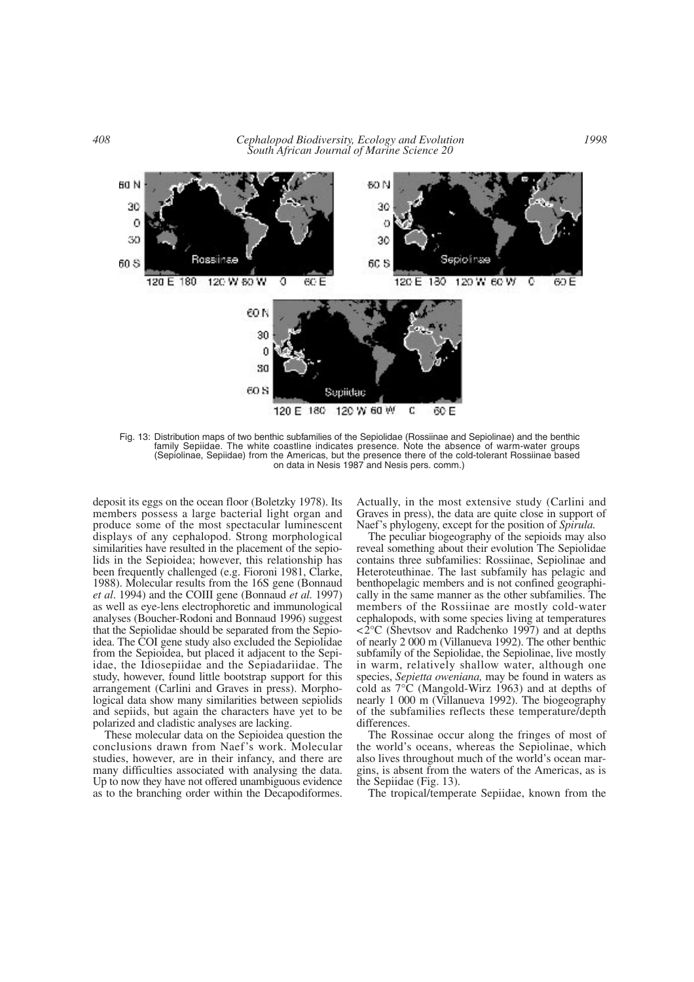

Fig. 13: Distribution maps of two benthic subfamilies of the Sepiolidae (Rossiinae and Sepiolinae) and the benthic family Sepiidae. The white coastline indicates presence. Note the absence of warm-water groups (Sepiolinae, Sepiidae) from the Americas, but the presence there of the cold-tolerant Rossiinae based on data in Nesis 1987 and Nesis pers. comm.)

deposit its eggs on the ocean floor (Boletzky 1978). Its members possess a large bacterial light organ and produce some of the most spectacular luminescent displays of any cephalopod. Strong morphological similarities have resulted in the placement of the sepiolids in the Sepioidea; however, this relationship has been frequently challenged (e.g. Fioroni 1981, Clarke, 1988). Molecular results from the 16S gene (Bonnaud *et al*. 1994) and the COIII gene (Bonnaud *et al.* 1997) as well as eye-lens electrophoretic and immunological analyses (Boucher-Rodoni and Bonnaud 1996) suggest that the Sepiolidae should be separated from the Sepioidea. The COI gene study also excluded the Sepiolidae from the Sepioidea, but placed it adjacent to the Sepiidae, the Idiosepiidae and the Sepiadariidae. The study, however, found little bootstrap support for this arrangement (Carlini and Graves in press). Morphological data show many similarities between sepiolids and sepiids, but again the characters have yet to be polarized and cladistic analyses are lacking.

These molecular data on the Sepioidea question the conclusions drawn from Naef's work. Molecular studies, however, are in their infancy, and there are many difficulties associated with analysing the data. Up to now they have not offered unambiguous evidence as to the branching order within the Decapodiformes.

Actually, in the most extensive study (Carlini and Graves in press), the data are quite close in support of Naef's phylogeny, except for the position of *Spirula.*

The peculiar biogeography of the sepioids may also reveal something about their evolution The Sepiolidae contains three subfamilies: Rossiinae, Sepiolinae and Heteroteuthinae. The last subfamily has pelagic and benthopelagic members and is not confined geographically in the same manner as the other subfamilies. The members of the Rossiinae are mostly cold-water cephalopods, with some species living at temperatures <2°C (Shevtsov and Radchenko 1997) and at depths of nearly 2 000 m (Villanueva 1992). The other benthic subfamily of the Sepiolidae, the Sepiolinae, live mostly in warm, relatively shallow water, although one species, *Sepietta oweniana,* may be found in waters as cold as 7°C (Mangold-Wirz 1963) and at depths of nearly 1 000 m (Villanueva 1992). The biogeography of the subfamilies reflects these temperature/depth differences.

The Rossinae occur along the fringes of most of the world's oceans, whereas the Sepiolinae, which also lives throughout much of the world's ocean margins, is absent from the waters of the Americas, as is the Sepiidae (Fig. 13).

The tropical/temperate Sepiidae, known from the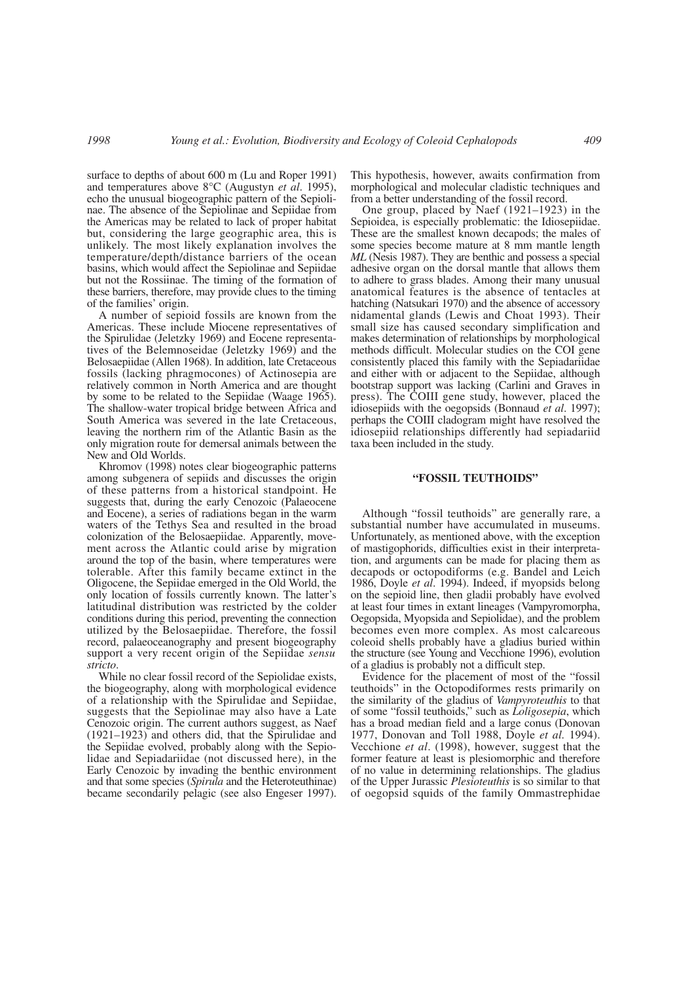surface to depths of about 600 m (Lu and Roper 1991) and temperatures above 8°C (Augustyn *et al*. 1995), echo the unusual biogeographic pattern of the Sepiolinae. The absence of the Sepiolinae and Sepiidae from the Americas may be related to lack of proper habitat but, considering the large geographic area, this is unlikely. The most likely explanation involves the temperature/depth/distance barriers of the ocean basins, which would affect the Sepiolinae and Sepiidae but not the Rossiinae. The timing of the formation of these barriers, therefore, may provide clues to the timing of the families' origin.

A number of sepioid fossils are known from the Americas. These include Miocene representatives of the Spirulidae (Jeletzky 1969) and Eocene representatives of the Belemnoseidae (Jeletzky 1969) and the Belosaepiidae (Allen 1968). In addition, late Cretaceous fossils (lacking phragmocones) of Actinosepia are relatively common in North America and are thought by some to be related to the Sepiidae (Waage 1965). The shallow-water tropical bridge between Africa and South America was severed in the late Cretaceous, leaving the northern rim of the Atlantic Basin as the only migration route for demersal animals between the New and Old Worlds.

Khromov (1998) notes clear biogeographic patterns among subgenera of sepiids and discusses the origin of these patterns from a historical standpoint. He suggests that, during the early Cenozoic (Palaeocene and Eocene), a series of radiations began in the warm waters of the Tethys Sea and resulted in the broad colonization of the Belosaepiidae. Apparently, movement across the Atlantic could arise by migration around the top of the basin, where temperatures were tolerable. After this family became extinct in the Oligocene, the Sepiidae emerged in the Old World, the only location of fossils currently known. The latter's latitudinal distribution was restricted by the colder conditions during this period, preventing the connection utilized by the Belosaepiidae. Therefore, the fossil record, palaeoceanography and present biogeography support a very recent origin of the Sepiidae *sensu stricto*.

While no clear fossil record of the Sepiolidae exists, the biogeography, along with morphological evidence of a relationship with the Spirulidae and Sepiidae, suggests that the Sepiolinae may also have a Late Cenozoic origin. The current authors suggest, as Naef (1921–1923) and others did, that the Spirulidae and the Sepiidae evolved, probably along with the Sepiolidae and Sepiadariidae (not discussed here), in the Early Cenozoic by invading the benthic environment and that some species (*Spirula* and the Heteroteuthinae) became secondarily pelagic (see also Engeser 1997).

This hypothesis, however, awaits confirmation from morphological and molecular cladistic techniques and from a better understanding of the fossil record.

One group, placed by Naef (1921–1923) in the Sepioidea, is especially problematic: the Idiosepiidae. These are the smallest known decapods; the males of some species become mature at 8 mm mantle length *ML* (Nesis 1987). They are benthic and possess a special adhesive organ on the dorsal mantle that allows them to adhere to grass blades. Among their many unusual anatomical features is the absence of tentacles at hatching (Natsukari 1970) and the absence of accessory nidamental glands (Lewis and Choat 1993). Their small size has caused secondary simplification and makes determination of relationships by morphological methods difficult. Molecular studies on the COI gene consistently placed this family with the Sepiadariidae and either with or adjacent to the Sepiidae, although bootstrap support was lacking (Carlini and Graves in press). The COIII gene study, however, placed the idiosepiids with the oegopsids (Bonnaud *et al*. 1997); perhaps the COIII cladogram might have resolved the idiosepiid relationships differently had sepiadariid taxa been included in the study.

#### **"FOSSIL TEUTHOIDS"**

Although "fossil teuthoids" are generally rare, a substantial number have accumulated in museums. Unfortunately, as mentioned above, with the exception of mastigophorids, difficulties exist in their interpretation, and arguments can be made for placing them as decapods or octopodiforms (e.g. Bandel and Leich 1986, Doyle *et al*. 1994). Indeed, if myopsids belong on the sepioid line, then gladii probably have evolved at least four times in extant lineages (Vampyromorpha, Oegopsida, Myopsida and Sepiolidae), and the problem becomes even more complex. As most calcareous coleoid shells probably have a gladius buried within the structure (see Young and Vecchione 1996), evolution of a gladius is probably not a difficult step.

Evidence for the placement of most of the "fossil teuthoids" in the Octopodiformes rests primarily on the similarity of the gladius of *Vampyroteuthis* to that of some "fossil teuthoids," such as *Loligosepia*, which has a broad median field and a large conus (Donovan 1977, Donovan and Toll 1988, Doyle *et al.* 1994). Vecchione *et al*. (1998), however, suggest that the former feature at least is plesiomorphic and therefore of no value in determining relationships. The gladius of the Upper Jurassic *Plesioteuthis* is so similar to that of oegopsid squids of the family Ommastrephidae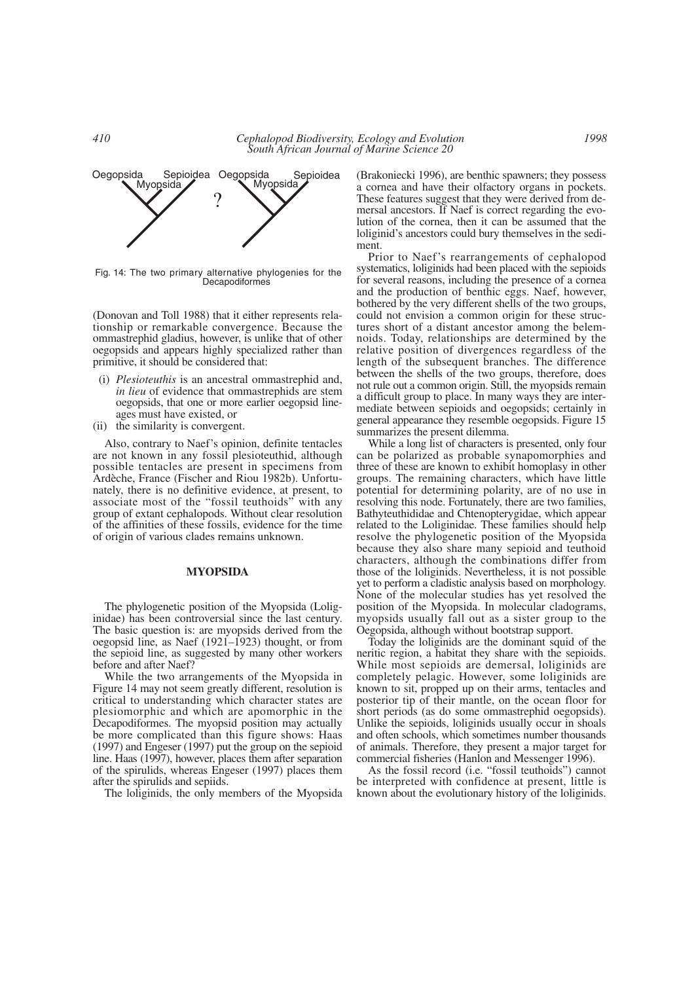

Fig. 14: The two primary alternative phylogenies for the **Decapodiformes** 

(Donovan and Toll 1988) that it either represents relationship or remarkable convergence. Because the ommastrephid gladius, however, is unlike that of other oegopsids and appears highly specialized rather than primitive, it should be considered that:

- (i) *Plesioteuthis* is an ancestral ommastrephid and, *in lieu* of evidence that ommastrephids are stem oegopsids, that one or more earlier oegopsid lineages must have existed, or
- (ii) the similarity is convergent.

Also, contrary to Naef's opinion, definite tentacles are not known in any fossil plesioteuthid, although possible tentacles are present in specimens from Ardèche, France (Fischer and Riou 1982b). Unfortunately, there is no definitive evidence, at present, to associate most of the "fossil teuthoids" with any group of extant cephalopods. Without clear resolution of the affinities of these fossils, evidence for the time of origin of various clades remains unknown.

#### **MYOPSIDA**

The phylogenetic position of the Myopsida (Loliginidae) has been controversial since the last century. The basic question is: are myopsids derived from the oegopsid line, as Naef (1921–1923) thought, or from the sepioid line, as suggested by many other workers before and after Naef?

While the two arrangements of the Myopsida in Figure 14 may not seem greatly different, resolution is critical to understanding which character states are plesiomorphic and which are apomorphic in the Decapodiformes. The myopsid position may actually be more complicated than this figure shows: Haas (1997) and Engeser (1997) put the group on the sepioid line. Haas (1997), however, places them after separation of the spirulids, whereas Engeser (1997) places them after the spirulids and sepiids.

The loliginids, the only members of the Myopsida

(Brakoniecki 1996), are benthic spawners; they possess a cornea and have their olfactory organs in pockets. These features suggest that they were derived from demersal ancestors. If Naef is correct regarding the evolution of the cornea, then it can be assumed that the loliginid's ancestors could bury themselves in the sediment.

Prior to Naef's rearrangements of cephalopod systematics, loliginids had been placed with the sepioids for several reasons, including the presence of a cornea and the production of benthic eggs. Naef, however, bothered by the very different shells of the two groups, could not envision a common origin for these structures short of a distant ancestor among the belemnoids. Today, relationships are determined by the relative position of divergences regardless of the length of the subsequent branches. The difference between the shells of the two groups, therefore, does not rule out a common origin. Still, the myopsids remain a difficult group to place. In many ways they are intermediate between sepioids and oegopsids; certainly in general appearance they resemble oegopsids. Figure 15 summarizes the present dilemma.

While a long list of characters is presented, only four can be polarized as probable synapomorphies and three of these are known to exhibit homoplasy in other groups. The remaining characters, which have little potential for determining polarity, are of no use in resolving this node. Fortunately, there are two families, Bathyteuthididae and Chtenopterygidae, which appear related to the Loliginidae. These families should help resolve the phylogenetic position of the Myopsida because they also share many sepioid and teuthoid characters, although the combinations differ from those of the loliginids. Nevertheless, it is not possible yet to perform a cladistic analysis based on morphology. None of the molecular studies has yet resolved the position of the Myopsida. In molecular cladograms, myopsids usually fall out as a sister group to the Oegopsida, although without bootstrap support.

Today the loliginids are the dominant squid of the neritic region, a habitat they share with the sepioids. While most sepioids are demersal, loliginids are completely pelagic. However, some loliginids are known to sit, propped up on their arms, tentacles and posterior tip of their mantle, on the ocean floor for short periods (as do some ommastrephid oegopsids). Unlike the sepioids, loliginids usually occur in shoals and often schools, which sometimes number thousands of animals. Therefore, they present a major target for commercial fisheries (Hanlon and Messenger 1996).

As the fossil record (i.e. "fossil teuthoids") cannot be interpreted with confidence at present, little is known about the evolutionary history of the loliginids.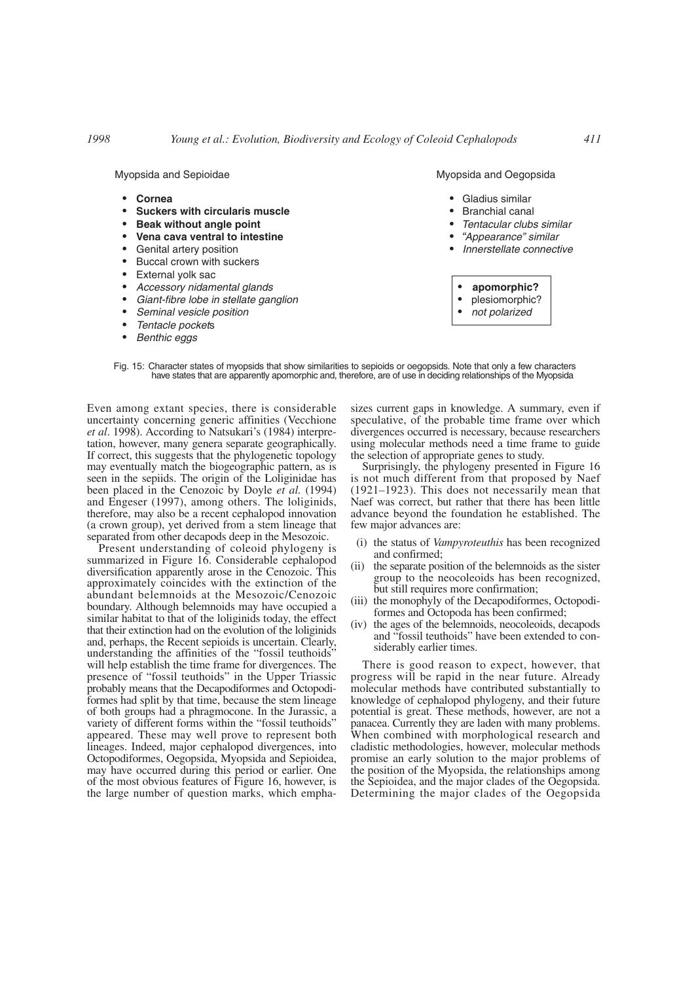## Myopsida and Sepioidae Myopsida and Oegopsida and Oegopsida

- 
- **Suckers with circularis muscle** Branchial canal
- **Beak without angle point** *Tentacular clubs similar*
- **Vena cava ventral to intestine and the set of the set of the set of the ventual arter ventilar Genital arter ventilar Genital arter ventilar Genital arter ventilar set of the set of the set of the set of the set of the**
- Genital artery position *Innerstellate connective*
- Buccal crown with suckers
- External yolk sac
- *Accessory nidamental glands* **apomorphic?**
- Giant-fibre lobe in stellate ganglion **Fig. 3** and  $\bullet$  plesiomorphic?
- *Seminal vesicle position* • *not polarized*
- *Tentacle pocket*s
- *Benthic eggs*

- **Cornea Cornea Cornea Cornea Cornea Cladius** similar
	-
	-
	-
	- -
		-
		-
- Fig. 15: Character states of myopsids that show similarities to sepioids or oegopsids. Note that only a few characters have states that are apparently apomorphic and, therefore, are of use in deciding relationships of the Myopsida

Even among extant species, there is considerable uncertainty concerning generic affinities (Vecchione *et al*. 1998). According to Natsukari's (1984) interpretation, however, many genera separate geographically. If correct, this suggests that the phylogenetic topology may eventually match the biogeographic pattern, as is seen in the sepiids. The origin of the Loliginidae has been placed in the Cenozoic by Doyle *et al.* (1994) and Engeser (1997), among others. The loliginids, therefore, may also be a recent cephalopod innovation (a crown group), yet derived from a stem lineage that separated from other decapods deep in the Mesozoic.

Present understanding of coleoid phylogeny is summarized in Figure 16. Considerable cephalopod diversification apparently arose in the Cenozoic. This approximately coincides with the extinction of the abundant belemnoids at the Mesozoic/Cenozoic boundary. Although belemnoids may have occupied a similar habitat to that of the loliginids today, the effect that their extinction had on the evolution of the loliginids and, perhaps, the Recent sepioids is uncertain. Clearly, understanding the affinities of the "fossil teuthoids" will help establish the time frame for divergences. The presence of "fossil teuthoids" in the Upper Triassic probably means that the Decapodiformes and Octopodiformes had split by that time, because the stem lineage of both groups had a phragmocone. In the Jurassic, a variety of different forms within the "fossil teuthoids" appeared. These may well prove to represent both lineages. Indeed, major cephalopod divergences, into Octopodiformes, Oegopsida, Myopsida and Sepioidea, may have occurred during this period or earlier. One of the most obvious features of Figure 16, however, is the large number of question marks, which emphasizes current gaps in knowledge. A summary, even if speculative, of the probable time frame over which divergences occurred is necessary, because researchers using molecular methods need a time frame to guide the selection of appropriate genes to study.

Surprisingly, the phylogeny presented in Figure 16 is not much different from that proposed by Naef (1921–1923). This does not necessarily mean that Naef was correct, but rather that there has been little advance beyond the foundation he established. The few major advances are:

- (i) the status of *Vampyroteuthis* has been recognized and confirmed;
- (ii) the separate position of the belemnoids as the sister group to the neocoleoids has been recognized, but still requires more confirmation;
- (iii) the monophyly of the Decapodiformes, Octopodiformes and Octopoda has been confirmed;
- (iv) the ages of the belemnoids, neocoleoids, decapods and "fossil teuthoids" have been extended to considerably earlier times.

There is good reason to expect, however, that progress will be rapid in the near future. Already molecular methods have contributed substantially to knowledge of cephalopod phylogeny, and their future potential is great. These methods, however, are not a panacea. Currently they are laden with many problems. When combined with morphological research and cladistic methodologies, however, molecular methods promise an early solution to the major problems of the position of the Myopsida, the relationships among the Sepioidea, and the major clades of the Oegopsida. Determining the major clades of the Oegopsida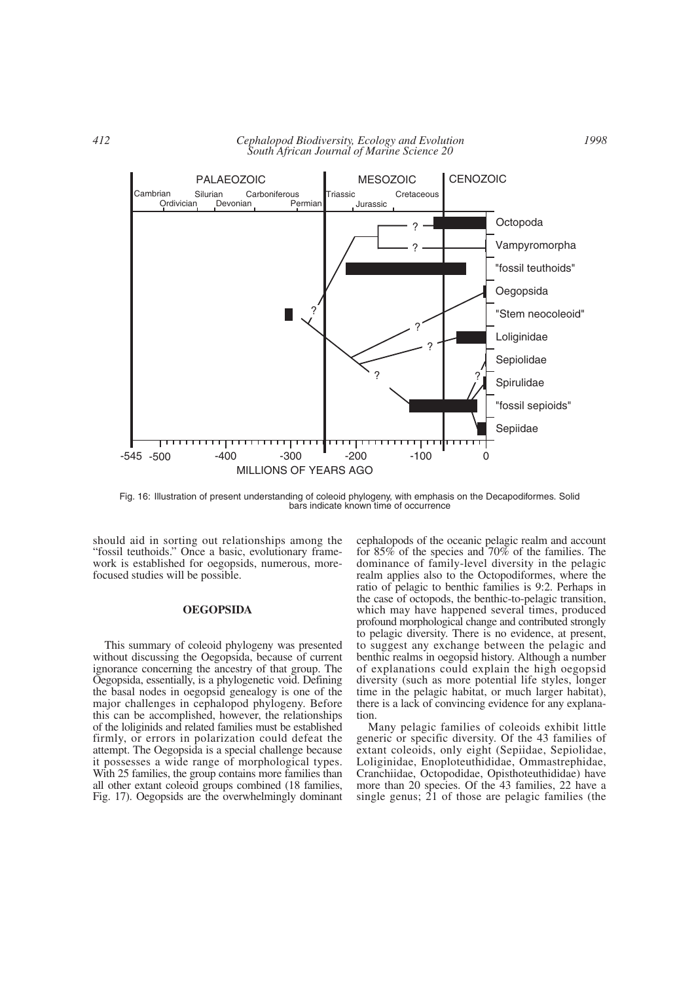*412 Cephalopod Biodiversity, Ecology and Evolution South African Journal of Marine Science 20*



Fig. 16: Illustration of present understanding of coleoid phylogeny, with emphasis on the Decapodiformes. Solid bars indicate known time of occurrence

should aid in sorting out relationships among the "fossil teuthoids." Once a basic, evolutionary framework is established for oegopsids, numerous, morefocused studies will be possible.

## **OEGOPSIDA**

This summary of coleoid phylogeny was presented without discussing the Oegopsida, because of current ignorance concerning the ancestry of that group. The Oegopsida, essentially, is a phylogenetic void. Defining the basal nodes in oegopsid genealogy is one of the major challenges in cephalopod phylogeny. Before this can be accomplished, however, the relationships of the loliginids and related families must be established firmly, or errors in polarization could defeat the attempt. The Oegopsida is a special challenge because it possesses a wide range of morphological types. With 25 families, the group contains more families than all other extant coleoid groups combined (18 families, Fig. 17). Oegopsids are the overwhelmingly dominant cephalopods of the oceanic pelagic realm and account for 85% of the species and 70% of the families. The dominance of family-level diversity in the pelagic realm applies also to the Octopodiformes, where the ratio of pelagic to benthic families is 9:2. Perhaps in the case of octopods, the benthic-to-pelagic transition, which may have happened several times, produced profound morphological change and contributed strongly to pelagic diversity. There is no evidence, at present, to suggest any exchange between the pelagic and benthic realms in oegopsid history. Although a number of explanations could explain the high oegopsid diversity (such as more potential life styles, longer time in the pelagic habitat, or much larger habitat), there is a lack of convincing evidence for any explanation.

Many pelagic families of coleoids exhibit little generic or specific diversity. Of the 43 families of extant coleoids, only eight (Sepiidae, Sepiolidae, Loliginidae, Enoploteuthididae, Ommastrephidae, Cranchiidae, Octopodidae, Opisthoteuthididae) have more than 20 species. Of the 43 families, 22 have a single genus; 21 of those are pelagic families (the

*1998*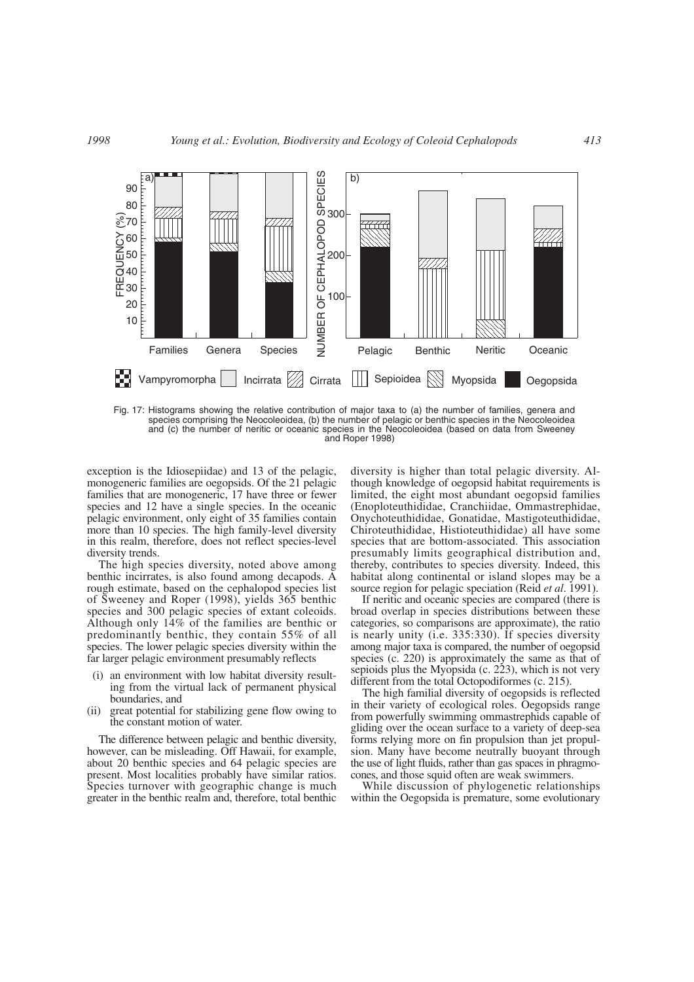

Fig. 17: Histograms showing the relative contribution of major taxa to (a) the number of families, genera and species comprising the Neocoleoidea, (b) the number of pelagic or benthic species in the Neocoleoidea and (c) the number of neritic or oceanic species in the Neocoleoidea (based on data from Sweeney and Roper 1998)

exception is the Idiosepiidae) and 13 of the pelagic, monogeneric families are oegopsids. Of the 21 pelagic families that are monogeneric, 17 have three or fewer species and 12 have a single species. In the oceanic pelagic environment, only eight of 35 families contain more than 10 species. The high family-level diversity in this realm, therefore, does not reflect species-level diversity trends.

The high species diversity, noted above among benthic incirrates, is also found among decapods. A rough estimate, based on the cephalopod species list of Sweeney and Roper (1998), yields 365 benthic species and 300 pelagic species of extant coleoids. Although only 14% of the families are benthic or predominantly benthic, they contain 55% of all species. The lower pelagic species diversity within the far larger pelagic environment presumably reflects

- (i) an environment with low habitat diversity resulting from the virtual lack of permanent physical boundaries, and
- (ii) great potential for stabilizing gene flow owing to the constant motion of water.

The difference between pelagic and benthic diversity, however, can be misleading. Off Hawaii, for example, about 20 benthic species and 64 pelagic species are present. Most localities probably have similar ratios. Species turnover with geographic change is much greater in the benthic realm and, therefore, total benthic

diversity is higher than total pelagic diversity. Although knowledge of oegopsid habitat requirements is limited, the eight most abundant oegopsid families (Enoploteuthididae, Cranchiidae, Ommastrephidae, Onychoteuthididae, Gonatidae, Mastigoteuthididae, Chiroteuthididae, Histioteuthididae) all have some species that are bottom-associated. This association presumably limits geographical distribution and, thereby, contributes to species diversity. Indeed, this habitat along continental or island slopes may be a source region for pelagic speciation (Reid *et al*. 1991).

If neritic and oceanic species are compared (there is broad overlap in species distributions between these categories, so comparisons are approximate), the ratio is nearly unity (i.e. 335:330). If species diversity among major taxa is compared, the number of oegopsid species (c. 220) is approximately the same as that of sepioids plus the Myopsida (c. 223), which is not very different from the total Octopodiformes (c. 215).

The high familial diversity of oegopsids is reflected in their variety of ecological roles. Oegopsids range from powerfully swimming ommastrephids capable of gliding over the ocean surface to a variety of deep-sea forms relying more on fin propulsion than jet propulsion. Many have become neutrally buoyant through the use of light fluids, rather than gas spaces in phragmocones, and those squid often are weak swimmers.

While discussion of phylogenetic relationships within the Oegopsida is premature, some evolutionary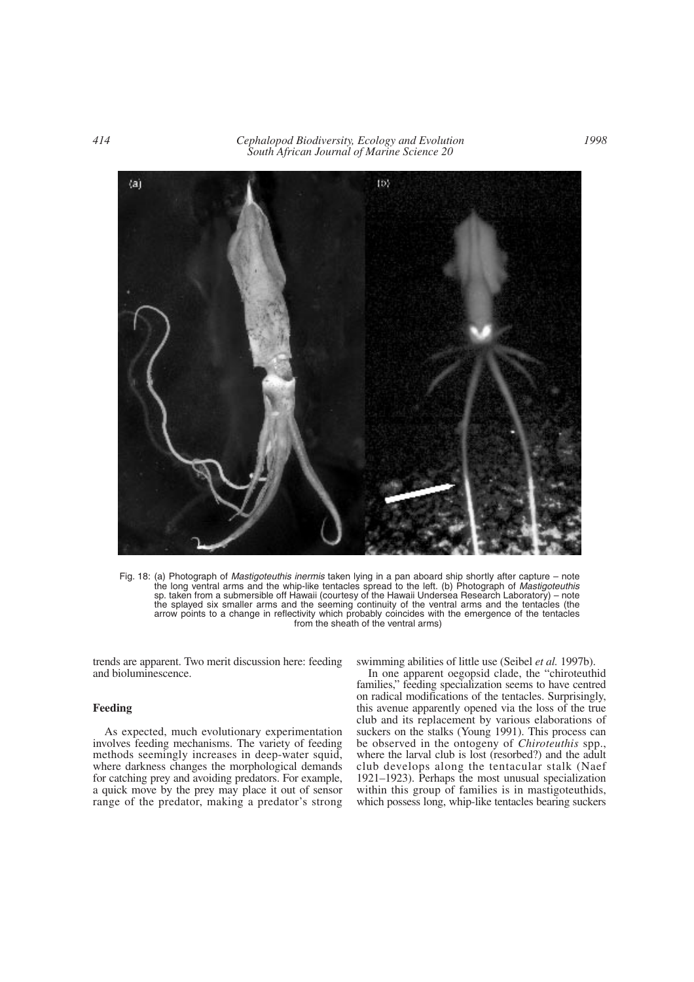

Fig. 18: (a) Photograph of *Mastigoteuthis inermis* taken lying in a pan aboard ship shortly after capture – note the long ventral arms and the whip-like tentacles spread to the left. (b) Photograph of *Mastigoteuthis* sp. taken from a submersible off Hawaii (courtesy of the Hawaii Undersea Research Laboratory) - note the splayed six smaller arms and the seeming continuity of the ventral arms and the tentacles (the arrow points to a change in reflectivity which probably coincides with the emergence of the tentacles from the sheath of the ventral arms)

trends are apparent. Two merit discussion here: feeding and bioluminescence.

## **Feeding**

As expected, much evolutionary experimentation involves feeding mechanisms. The variety of feeding methods seemingly increases in deep-water squid, where darkness changes the morphological demands for catching prey and avoiding predators. For example, a quick move by the prey may place it out of sensor range of the predator, making a predator's strong swimming abilities of little use (Seibel *et al.* 1997b).

In one apparent oegopsid clade, the "chiroteuthid families," feeding specialization seems to have centred on radical modifications of the tentacles. Surprisingly, this avenue apparently opened via the loss of the true club and its replacement by various elaborations of suckers on the stalks (Young 1991). This process can be observed in the ontogeny of *Chiroteuthis* spp., where the larval club is lost (resorbed?) and the adult club develops along the tentacular stalk (Naef 1921–1923). Perhaps the most unusual specialization within this group of families is in mastigoteuthids, which possess long, whip-like tentacles bearing suckers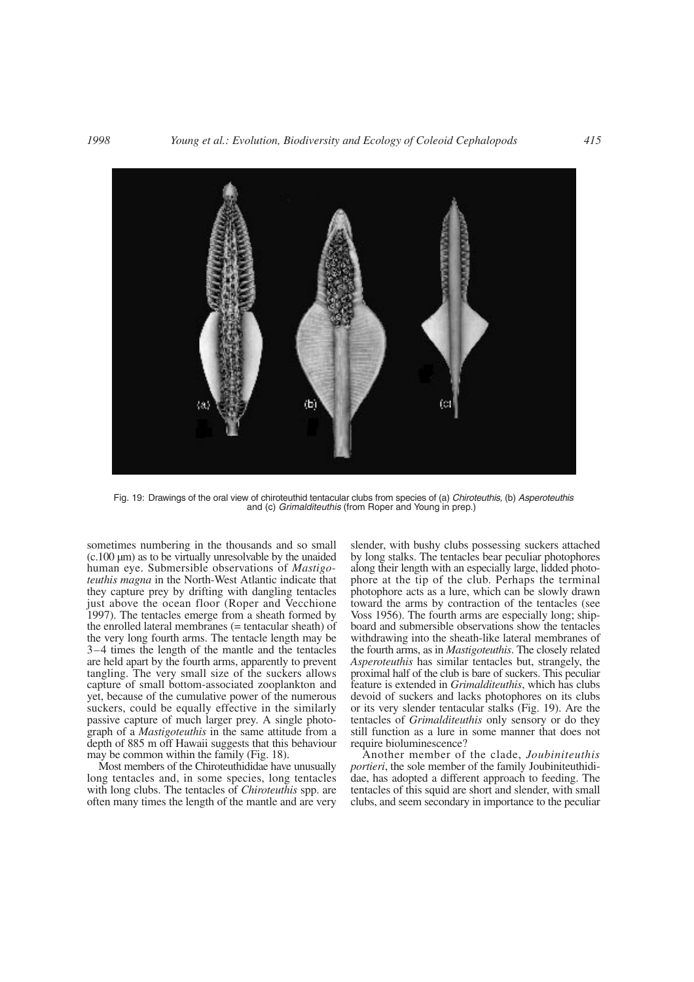

Fig. 19: Drawings of the oral view of chiroteuthid tentacular clubs from species of (a) *Chiroteuthis,* (b) *Asperoteuthis* and (c) *Grimalditeuthis* (from Roper and Young in prep.)

sometimes numbering in the thousands and so small (c.100 µm) as to be virtually unresolvable by the unaided human eye. Submersible observations of *Mastigoteuthis magna* in the North-West Atlantic indicate that they capture prey by drifting with dangling tentacles just above the ocean floor (Roper and Vecchione 1997). The tentacles emerge from a sheath formed by the enrolled lateral membranes (= tentacular sheath) of the very long fourth arms. The tentacle length may be 3–4 times the length of the mantle and the tentacles are held apart by the fourth arms, apparently to prevent tangling. The very small size of the suckers allows capture of small bottom-associated zooplankton and yet, because of the cumulative power of the numerous suckers, could be equally effective in the similarly passive capture of much larger prey. A single photograph of a *Mastigoteuthis* in the same attitude from a depth of 885 m off Hawaii suggests that this behaviour may be common within the family (Fig. 18).

Most members of the Chiroteuthididae have unusually long tentacles and, in some species, long tentacles with long clubs. The tentacles of *Chiroteuthis* spp. are often many times the length of the mantle and are very slender, with bushy clubs possessing suckers attached by long stalks. The tentacles bear peculiar photophores along their length with an especially large, lidded photophore at the tip of the club. Perhaps the terminal photophore acts as a lure, which can be slowly drawn toward the arms by contraction of the tentacles (see Voss 1956). The fourth arms are especially long; shipboard and submersible observations show the tentacles withdrawing into the sheath-like lateral membranes of the fourth arms, as in *Mastigoteuthis*. The closely related *Asperoteuthis* has similar tentacles but, strangely, the proximal half of the club is bare of suckers. This peculiar feature is extended in *Grimalditeuthis*, which has clubs devoid of suckers and lacks photophores on its clubs or its very slender tentacular stalks (Fig. 19). Are the tentacles of *Grimalditeuthis* only sensory or do they still function as a lure in some manner that does not require bioluminescence?

Another member of the clade, *Joubiniteuthis portieri*, the sole member of the family Joubiniteuthididae, has adopted a different approach to feeding. The tentacles of this squid are short and slender, with small clubs, and seem secondary in importance to the peculiar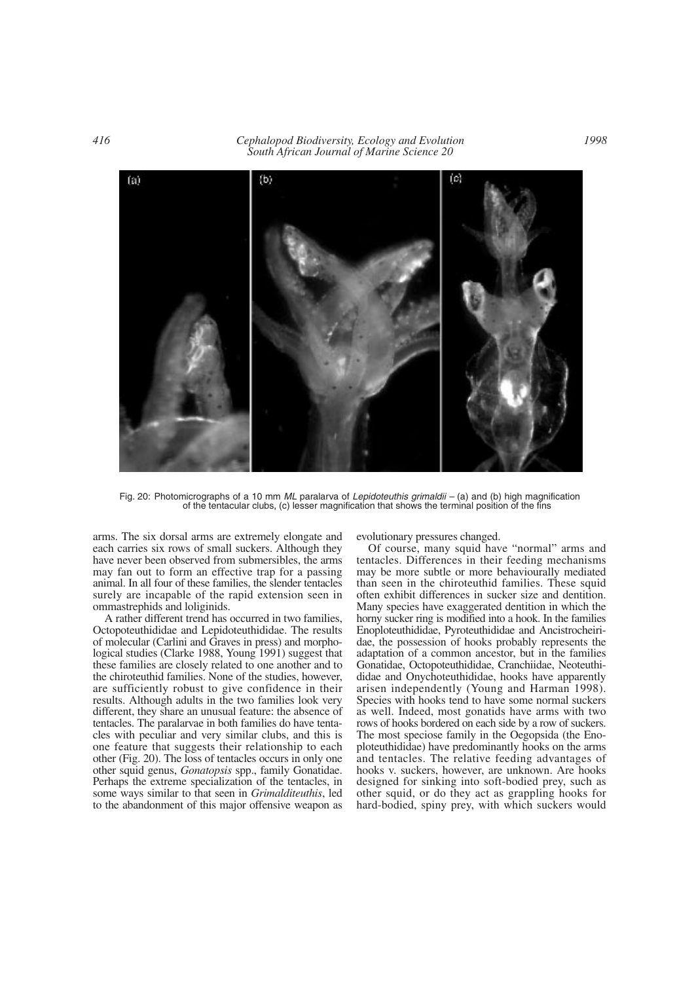

Fig. 20: Photomicrographs of a 10 mm *ML* paralarva of *Lepidoteuthis grimaldii –* (a) and (b) high magnification of the tentacular clubs, (c) lesser magnification that shows the terminal position of the fins

arms. The six dorsal arms are extremely elongate and each carries six rows of small suckers. Although they have never been observed from submersibles, the arms may fan out to form an effective trap for a passing animal. In all four of these families, the slender tentacles surely are incapable of the rapid extension seen in ommastrephids and loliginids.

A rather different trend has occurred in two families, Octopoteuthididae and Lepidoteuthididae. The results of molecular (Carlini and Graves in press) and morphological studies (Clarke 1988, Young 1991) suggest that these families are closely related to one another and to the chiroteuthid families. None of the studies, however, are sufficiently robust to give confidence in their results. Although adults in the two families look very different, they share an unusual feature: the absence of tentacles. The paralarvae in both families do have tentacles with peculiar and very similar clubs, and this is one feature that suggests their relationship to each other (Fig. 20). The loss of tentacles occurs in only one other squid genus, *Gonatopsis* spp., family Gonatidae. Perhaps the extreme specialization of the tentacles, in some ways similar to that seen in *Grimalditeuthis*, led to the abandonment of this major offensive weapon as

evolutionary pressures changed.

Of course, many squid have "normal" arms and tentacles. Differences in their feeding mechanisms may be more subtle or more behaviourally mediated than seen in the chiroteuthid families. These squid often exhibit differences in sucker size and dentition. Many species have exaggerated dentition in which the horny sucker ring is modified into a hook. In the families Enoploteuthididae, Pyroteuthididae and Ancistrocheiridae, the possession of hooks probably represents the adaptation of a common ancestor, but in the families Gonatidae, Octopoteuthididae, Cranchiidae, Neoteuthididae and Onychoteuthididae, hooks have apparently arisen independently (Young and Harman 1998). Species with hooks tend to have some normal suckers as well. Indeed, most gonatids have arms with two rows of hooks bordered on each side by a row of suckers. The most speciose family in the Oegopsida (the Enoploteuthididae) have predominantly hooks on the arms and tentacles. The relative feeding advantages of hooks v. suckers, however, are unknown. Are hooks designed for sinking into soft-bodied prey, such as other squid, or do they act as grappling hooks for hard-bodied, spiny prey, with which suckers would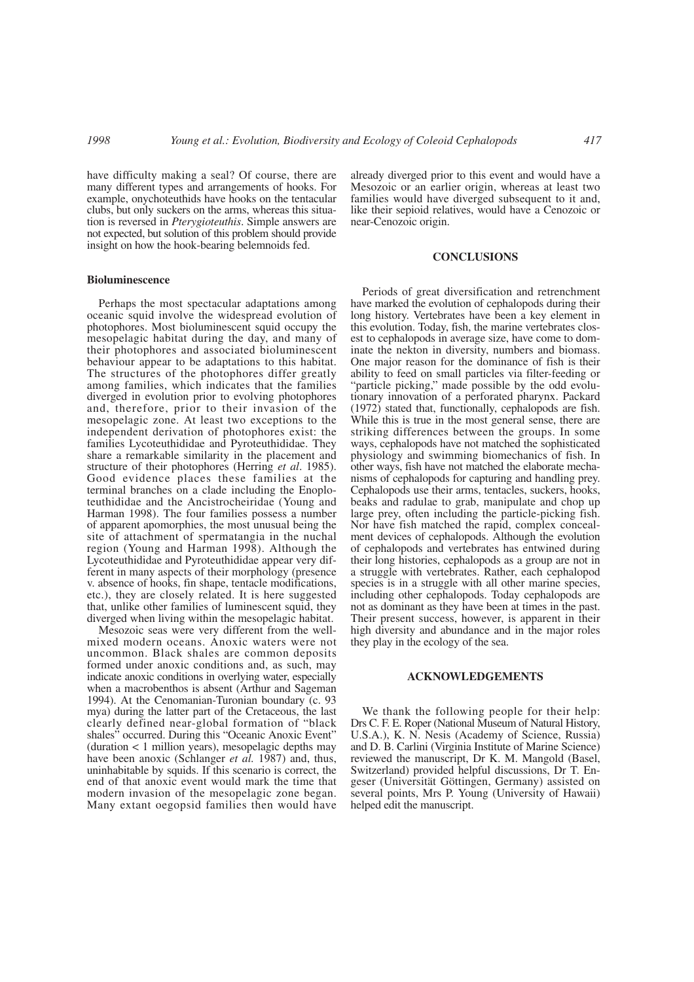have difficulty making a seal? Of course, there are many different types and arrangements of hooks. For example, onychoteuthids have hooks on the tentacular clubs, but only suckers on the arms, whereas this situation is reversed in *Pterygioteuthis*. Simple answers are not expected, but solution of this problem should provide insight on how the hook-bearing belemnoids fed.

## **Bioluminescence**

Perhaps the most spectacular adaptations among oceanic squid involve the widespread evolution of photophores. Most bioluminescent squid occupy the mesopelagic habitat during the day, and many of their photophores and associated bioluminescent behaviour appear to be adaptations to this habitat. The structures of the photophores differ greatly among families, which indicates that the families diverged in evolution prior to evolving photophores and, therefore, prior to their invasion of the mesopelagic zone. At least two exceptions to the independent derivation of photophores exist: the families Lycoteuthididae and Pyroteuthididae. They share a remarkable similarity in the placement and structure of their photophores (Herring *et al*. 1985). Good evidence places these families at the terminal branches on a clade including the Enoploteuthididae and the Ancistrocheiridae (Young and Harman 1998). The four families possess a number of apparent apomorphies, the most unusual being the site of attachment of spermatangia in the nuchal region (Young and Harman 1998). Although the Lycoteuthididae and Pyroteuthididae appear very different in many aspects of their morphology (presence v. absence of hooks, fin shape, tentacle modifications, etc.), they are closely related. It is here suggested that, unlike other families of luminescent squid, they diverged when living within the mesopelagic habitat.

Mesozoic seas were very different from the wellmixed modern oceans. Anoxic waters were not uncommon. Black shales are common deposits formed under anoxic conditions and, as such, may indicate anoxic conditions in overlying water, especially when a macrobenthos is absent (Arthur and Sageman 1994). At the Cenomanian-Turonian boundary (c. 93 mya) during the latter part of the Cretaceous, the last clearly defined near-global formation of "black shales" occurred. During this "Oceanic Anoxic Event" (duration < 1 million years), mesopelagic depths may have been anoxic (Schlanger *et al.* 1987) and, thus, uninhabitable by squids. If this scenario is correct, the end of that anoxic event would mark the time that modern invasion of the mesopelagic zone began. Many extant oegopsid families then would have

already diverged prior to this event and would have a Mesozoic or an earlier origin, whereas at least two families would have diverged subsequent to it and, like their sepioid relatives, would have a Cenozoic or near-Cenozoic origin.

## **CONCLUSIONS**

Periods of great diversification and retrenchment have marked the evolution of cephalopods during their long history. Vertebrates have been a key element in this evolution. Today, fish, the marine vertebrates closest to cephalopods in average size, have come to dominate the nekton in diversity, numbers and biomass. One major reason for the dominance of fish is their ability to feed on small particles via filter-feeding or "particle picking," made possible by the odd evolutionary innovation of a perforated pharynx. Packard (1972) stated that, functionally, cephalopods are fish. While this is true in the most general sense, there are striking differences between the groups. In some ways, cephalopods have not matched the sophisticated physiology and swimming biomechanics of fish. In other ways, fish have not matched the elaborate mechanisms of cephalopods for capturing and handling prey. Cephalopods use their arms, tentacles, suckers, hooks, beaks and radulae to grab, manipulate and chop up large prey, often including the particle-picking fish. Nor have fish matched the rapid, complex concealment devices of cephalopods. Although the evolution of cephalopods and vertebrates has entwined during their long histories, cephalopods as a group are not in a struggle with vertebrates. Rather, each cephalopod species is in a struggle with all other marine species, including other cephalopods. Today cephalopods are not as dominant as they have been at times in the past. Their present success, however, is apparent in their high diversity and abundance and in the major roles they play in the ecology of the sea.

#### **ACKNOWLEDGEMENTS**

We thank the following people for their help: Drs C. F. E. Roper (National Museum of Natural History, U.S.A.), K. N. Nesis (Academy of Science, Russia) and D. B. Carlini (Virginia Institute of Marine Science) reviewed the manuscript, Dr K. M. Mangold (Basel, Switzerland) provided helpful discussions, Dr T. Engeser (Universität Göttingen, Germany) assisted on several points, Mrs P. Young (University of Hawaii) helped edit the manuscript.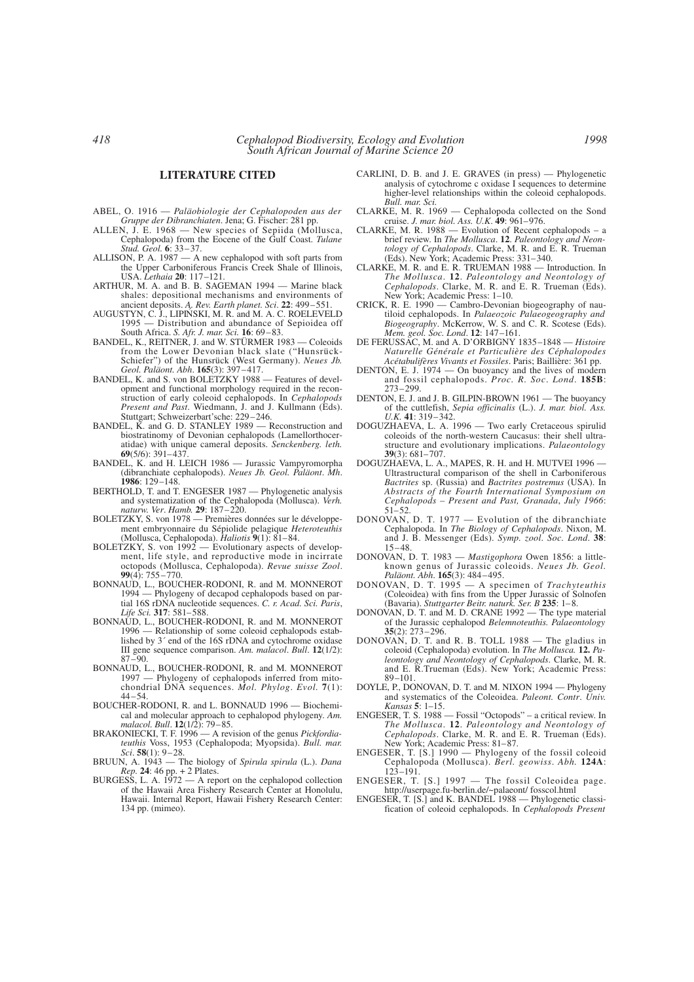## **LITERATURE CITED**

- ABEL, O. 1916 *Paläobiologie der Cephalopoden aus der Gruppe der Dibranchiaten*. Jena; G. Fischer: 281 pp.
- ALLEN, J. E. 1968 New species of Sepiida (Mollusca, Cephalopoda) from the Eocene of the Gulf Coast. *Tulane Stud. Geol.* **6**: 33–37.
- ALLISON, P. A. 1987 A new cephalopod with soft parts from the Upper Carboniferous Francis Creek Shale of Illinois, USA. *Lethaia* **20**: 117–121.
- ARTHUR, M. A. and B. B. SAGEMAN 1994 Marine black shales: depositional mechanisms and environments of ancient deposits. *A. Rev. Earth planet. Sci*. **22**: 499–551.
- AUGUSTYN, C. J., LIPINSKI, M. R. and M. A. C. ROELEVELD 1995 — Distribution and abundance of Sepioidea off South Africa. *S. Afr. J. mar. Sci.* **16**: 69–83.
- BANDEL, K., REITNER, J. and W. STÜRMER 1983 Coleoids from the Lower Devonian black slate ("Hunsrück-Schiefer") of the Hunsrück (West Germany). *Neues Jb. Geol. Paläont. Abh*. **165**(3): 397–417.
- BANDEL, K. and S. von BOLETZKY 1988 Features of development and functional morphology required in the reconstruction of early coleoid cephalopods. In *Cephalopods Present and Past*. Wiedmann, J. and J. Kullmann (Eds). Stuttgart; Schweizerbart'sche: 229–246.
- BANDEL, K. and G. D. STANLEY 1989 Reconstruction and biostratinomy of Devonian cephalopods (Lamellorthoceratidae) with unique cameral deposits. *Senckenberg. leth.* **69**(5/6): 391–437.
- BANDEL, K. and H. LEICH 1986 Jurassic Vampyromorpha (dibranchiate cephalopods). *Neues Jb. Geol. Paläont*. *Mh*. **1986**: 129–148.
- BERTHOLD, T. and T. ENGESER 1987 Phylogenetic analysis and systematization of the Cephalopoda (Mollusca). *Verh. naturw. Ver*. *Hamb.* **29**: 187–220.
- BOLETZKY, S. von 1978 Premières données sur le développement embryonnaire du Sépiolide pelagique *Heteroteuthis* (Mollusca, Cephalopoda). *Haliotis* **9**(1): 81–84.
- BOLETZKY, S. von 1992 Evolutionary aspects of development, life style, and reproductive mode in incirrate octopods (Mollusca, Cephalopoda). *Revue suisse Zool*. **99**(4): 755–770.
- BONNAUD, L., BOUCHER-RODONI, R. and M. MONNEROT 1994 — Phylogeny of decapod cephalopods based on partial 16S rDNA nucleotide sequences. *C. r. Acad. Sci. Paris*, *Life Sci.* **317**: 581–588.
- BONNAUD, L., BOUCHER-RODONI, R. and M. MONNEROT 1996 — Relationship of some coleoid cephalopods established by 3´ end of the 16S rDNA and cytochrome oxidase III gene sequence comparison. *Am. malacol*. *Bull*. **12**(1/2):  $87-90$
- BONNAUD, L., BOUCHER-RODONI, R. and M. MONNEROT 1997 — Phylogeny of cephalopods inferred from mitochondrial DNA sequences. *Mol. Phylog*. *Evol.* **7**(1): 44–54.
- BOUCHER-RODONI, R. and L. BONNAUD 1996 Biochemical and molecular approach to cephalopod phylogeny. *Am. malacol. Bull*. **12**(1/2): 79–85.
- BRAKONIECKI, T. F. 1996 A revision of the genus *Pickfordiateuthis* Voss, 1953 (Cephalopoda; Myopsida). *Bull. mar. Sci*. **58**(1): 9–28.
- BRUUN, A. 1943 The biology of *Spirula spirula* (L.). *Dana Rep.* **24**: 46 pp. + 2 Plates.
- BURGESS, L. A.  $1972 A$  report on the cephalopod collection of the Hawaii Area Fishery Research Center at Honolulu, Hawaii. Internal Report, Hawaii Fishery Research Center: 134 pp. (mimeo).
- CARLINI, D. B. and J. E. GRAVES (in press) Phylogenetic analysis of cytochrome c oxidase I sequences to determine higher-level relationships within the coleoid cephalopods. *Bull. mar. Sci.*
- CLARKE, M. R. 1969 Cephalopoda collected on the Sond cruise. *J. mar. biol. Ass. U.K*. **49**: 961–976.
- CLARKE, M. R. 1988 Evolution of Recent cephalopods a brief review. In *The Mollusca*. **12**. *Paleontology and Neontology of Cephalopods*. Clarke, M. R. and E. R. Trueman (Eds). New York; Academic Press: 331–340.
- CLARKE, M. R. and E. R. TRUEMAN 1988 Introduction. In *The Mollusca*. **12**. *Paleontology and Neontology of Cephalopods*. Clarke, M. R. and E. R. Trueman (Eds). New York; Academic Press: 1–10.
- CRICK, R. E. 1990 Cambro-Devonian biogeography of nautiloid cephalopods. In *Palaeozoic Palaeogeography and Biogeography*. McKerrow, W. S. and C. R. Scotese (Eds). *Mem. geol. Soc. Lond*. **12**: 147–161.
- DE FERUSSAC, M. and A. D'ORBIGNY 1835–1848 *Histoire Naturelle Générale et Particulière des Céphalopodes Acétabulifères Vivants et Fossiles*. Paris; Baillière: 361 pp.
- DENTON, E. J. 1974 On buoyancy and the lives of modern and fossil cephalopods. *Proc. R. Soc*. *Lond*. **185B**: 273–299.
- DENTON, E. J. and J. B. GILPIN-BROWN 1961 The buoyancy of the cuttlefish, *Sepia officinalis* (L.). *J. mar. biol. Ass. U.K.* **41**: 319–342.
- DOGUZHAEVA, L. A. 1996 Two early Cretaceous spirulid coleoids of the north-western Caucasus: their shell ultrastructure and evolutionary implications. *Palaeontology* **39**(3): 681–707.
- DOGUZHAEVA, L. A., MAPES, R. H. and H. MUTVEI 1996 Ultrastructural comparison of the shell in Carboniferous *Bactrites* sp. (Russia) and *Bactrites postremus* (USA). In *Abstracts of the Fourth International Symposium on Cephalopods – Present and Past, Granada*, *July 1966*: 51–52.
- DONOVAN, D. T. 1977 Evolution of the dibranchiate Cephalopoda. In *The Biology of Cephalopods*. Nixon, M. and J. B. Messenger (Eds). *Symp. zool. Soc. Lond*. **38**: 15–48.
- DONOVAN, D. T. 1983 *Mastigophora* Owen 1856: a littleknown genus of Jurassic coleoids. *Neues Jb. Geol. Paläont. Abh*. **165**(3): 484–495.
- DONOVAN, D. T. 1995 A specimen of *Trachyteuthis* (Coleoidea) with fins from the Upper Jurassic of Solnofen (Bavaria). *Stuttgarter Beitr. naturk. Ser. B* **235**: 1–8.
- DONOVAN, D. T. and M. D. CRANE 1992 The type material of the Jurassic cephalopod *Belemnoteuthis. Palaeontology* **35**(2): 273–296.
- DONOVAN, D. T. and R. B. TOLL 1988 The gladius in coleoid (Cephalopoda) evolution. In *The Mollusca.* **12.** *Paleontology and Neontology of Cephalopods*. Clarke, M. R. and E. R.Trueman (Eds). New York; Academic Press: 89–101.
- DOYLE, P., DONOVAN, D. T. and M. NIXON 1994 Phylogeny and systematics of the Coleoidea. *Paleont. Contr*. *Univ. Kansas* **5**: 1–15.
- ENGESER, T. S. 1988 Fossil "Octopods" a critical review. In *The Mollusca*. **12**. *Paleontology and Neontology of Cephalopods*. Clarke, M. R. and E. R. Trueman (Eds). New York; Academic Press: 81–87.
- ENGESER, T. [S.] 1990 Phylogeny of the fossil coleoid Cephalopoda (Mollusca). *Berl. geowiss*. *Abh.* **124A**: 123–191.
- ENGESER, T. [S.] 1997 The fossil Coleoidea page. http://userpage.fu-berlin.de/~palaeont/ fosscol.html
- ENGESER, T. [S.] and K. BANDEL 1988 Phylogenetic classification of coleoid cephalopods. In *Cephalopods Present*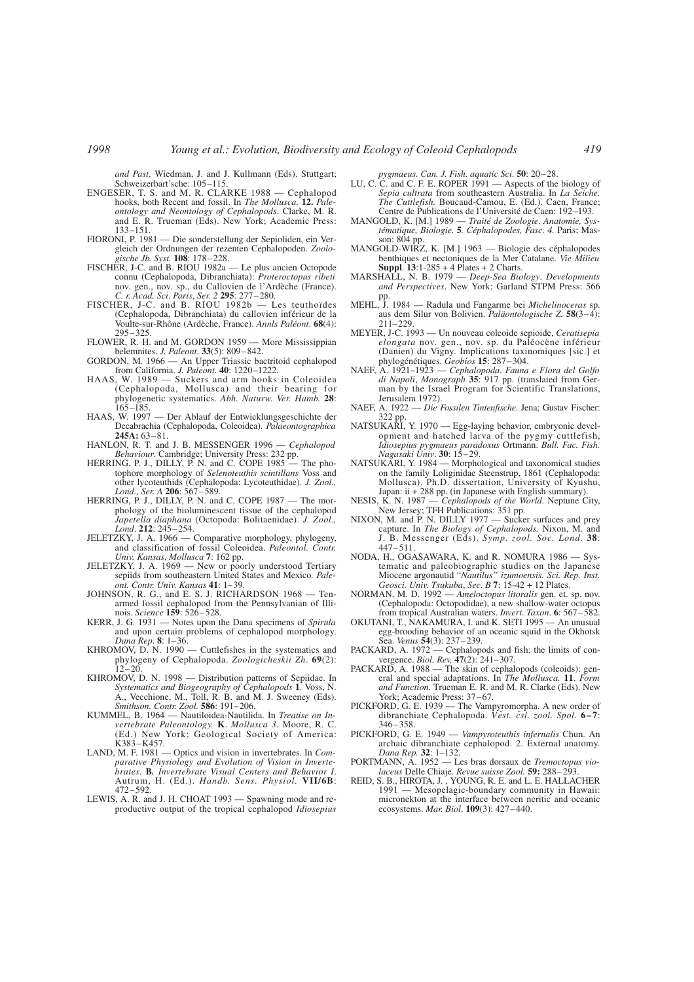*and Past*. Wiedman, J. and J. Kullmann (Eds). Stuttgart; Schweizerbart'sche: 105–115.

- ENGESER, T. S. and M. R. CLARKE 1988 Cephalopod hooks, both Recent and fossil. In *The Mollusca*. **12.** *Paleontology and Neontology of Cephalopods*. Clarke, M. R. and E. R. Trueman (Eds). New York; Academic Press: 133–151.
- FIORONI, P. 1981 Die sonderstellung der Sepioliden, ein Vergleich der Ordnungen der rezenten Cephalopoden. *Zoologische Jb. Syst.* **108**: 178–228.
- FISCHER, J-C. and B. RIOU 1982a Le plus ancien Octopode connu (Cephalopoda, Dibranchiata): *Proteroctopus ribeti* nov. gen., nov. sp., du Callovien de l'Ardèche (France). *C. r. Acad. Sci*. *Paris*, *Ser. 2* **295**: 277–280.
- FISCHER, J-C. and B. RIOU 1982b Les teuthoïdes (Cephalopoda, Dibranchiata) du callovien inférieur de la Voulte-sur-Rhône (Ardèche, France). *Annls Paléont*. **68**(4): 295–325.
- FLOWER, R. H. and M. GORDON 1959 More Mississippian belemnites. *J. Paleont*. **33**(5): 809–842.
- GORDON, M. 1966 An Upper Triassic bactritoid cephalopod from California. *J. Paleont*. **40**: 1220–1222.
- HAAS, W. 1989 Suckers and arm hooks in Coleoidea (Cephalopoda, Mollusca) and their bearing for phylogenetic systematics. *Abh. Naturw. Ver. Hamb.* **28**: 165–185.<br>HAAS, W. 1997
- Der Ablauf der Entwicklungsgeschichte der Decabrachia (Cephalopoda, Coleoidea). *Palaeontographica* **245A:** 63–81.
- HANLON, R. T. and J. B. MESSENGER 1996 *Cephalopod Behaviour*. Cambridge; University Press: 232 pp.
- HERRING, P. J., DILLY, P. N. and C. COPE 1985 The pho-tophore morphology of *Selenoteuthis scintillans* Voss and other lycoteuthids (Cephalopoda: Lycoteuthidae). *J. Zool., Lond., Ser. A* **206**: 567–589.
- HERRING, P. J., DILLY, P. N. and C. COPE 1987 The morphology of the bioluminescent tissue of the cephalopod *Japetella diaphana* (Octopoda: Bolitaenidae). *J. Zool., Lond*. **212**: 245–254.
- JELETZKY, J. A. 1966 Comparative morphology, phylogeny, and classification of fossil Coleoidea. *Paleontol. Contr. Univ. Kansas, Mollusca* **7**: 162 pp.
- JELETZKY, J. A. 1969 New or poorly understood Tertiary sepiids from southeastern United States and Mexico*. Paleont. Contr. Univ. Kansas* **41**: 1–39.
- JOHNSON, R. G., and E. S. J. RICHARDSON 1968 Tenarmed fossil cephalopod from the Pennsylvanian of Illi-nois. *Science* **159**: 526–528.
- KERR, J. G. 1931 Notes upon the Dana specimens of *Spirula* and upon certain problems of cephalopod morphology. *Dana Rep*. **8**: 1–36.
- KHROMOV,  $D^T$ . N. 1990 Cuttlefishes in the systematics and phylogeny of Cephalopoda. *Zoologicheskii Zh*. **69**(2):  $12 - 20.$
- KHROMOV, D. N. 1998 Distribution patterns of Sepiidae. In *Systematics and Biogeography of Cephalopods* **1**. Voss, N. A., Vecchione, M., Toll, R. B. and M. J. Sweeney (Eds). *Smithson. Contr. Zool.* **586**: 191–206.
- KUMMEL, B. 1964 Nautiloidea-Nautilida. In *Treatise on Invertebrate Paleontology.* **K**. *Mollusca 3*. Moore, R. C. (Ed.) New York; Geological Society of America: K383–K457.
- LAND, M. F. 1981 Optics and vision in invertebrates. In *Comparative Physiology and Evolution of Vision in Invertebrates.* **B***. Invertebrate Visual Centers and Behavior I*. Autrum, H. (Ed.). *Handb. Sens. Physiol.* **VII/6B**: 472–592.
- LEWIS, A. R. and J. H. CHOAT 1993 Spawning mode and reproductive output of the tropical cephalopod *Idiosepius*

*pygmaeus. Can. J. Fish. aquatic Sci*. **50**: 20–28.

- LU, C. C. and C. F. E. ROPER 1991 Aspects of the biology of *Sepia cultrata* from southeastern Australia. In *La Seiche, The Cuttlefish.* Boucaud-Camou, E. (Ed.). Caen, France; Centre de Publications de l'Université de Caen: 192–193.
- MANGOLD, K. [M.] 1989 *Traité de Zoologie*. *Anatomie, Systématique, Biologie.* **5***. Céphalopodes, Fasc. 4.* Paris; Masson: 804 pp.
- MANGOLD-WIRZ, K. [M.] 1963 Biologie des céphalopodes benthiques et nectoniques de la Mer Catalane. *Vie Milieu* **Suppl**. **13**:1-285 + 4 Plates + 2 Charts.
- MARSHALL, N. B. 1979 *Deep-Sea Biology*. *Developments and Perspectives*. New York; Garland STPM Press: 566
- pp. MEHL, J. 1984 Radula und Fangarme bei *Michelinoceras* sp. aus dem Silur von Bolivien. *Paläontologische Z.* **58**(3–4): 211–229.
- MEYER, J-C. 1993 Un nouveau coleoide sepioide, *Ceratisepia elongata* nov. gen., nov. sp. du Paléocène inférieur (Danien) du Vigny. Implications taxinomiques [sic.] et phylogénétiques. *Geobios* **15**: 287–304.
- NAEF, A. 1921–1923 *Cephalopoda*. *Fauna e Flora del Golfo di Napoli*, *Monograph* **35**: 917 pp. (translated from German by the Israel Program for Scientific Translations, Jerusalem 1972).
- NAEF, A. 1922 *Die Fossilen Tintenfische*. Jena; Gustav Fischer: 322 pp.
- NATSUKARI, Y. 1970 Egg-laying behavior, embryonic development and hatched larva of the pygmy cuttlefish, *Idiosepius pygmaeus paradoxus* Ortmann. *Bull. Fac. Fish. Nagasaki Univ*. **30**: 15–29.
- NATSUKARI, Y. 1984 Morphological and taxonomical studies on the family Loliginidae Steenstrup, 1861 (Cephalopoda: Mollusca). Ph.D. dissertation, University of Kyushu,
- Japan: ii + 288 pp. (in Japanese with English summary). NESIS, K. N. 1987 *Cephalopods of the World*. Neptune City, New Jersey; TFH Publications: 351 pp.
- NIXON, M. and P. N. DILLY 1977 Sucker surfaces and prey capture. In *The Biology of Cephalopods.* Nixon, M. and J. B. Messenger (Eds). *Symp. zool. Soc. Lond*. **38**: 447–511.
- NODA, H., OGASAWARA, K. and R. NOMURA 1986 Systematic and paleobiographic studies on the Japanese Miocene argonautid "*Nautilus" izumoensis. Sci. Rep. Inst. Geosci. Univ. Tsukuba*, *Sec*. *B* **7**: 15-42 + 12 Plates.
- NORMAN, M. D. 1992 *Ameloctopus litoralis* gen. et. sp. nov. (Cephalopoda: Octopodidae), a new shallow-water octopus from tropical Australian waters. *Invert*. *Taxon*. **6**: 567–582.
- OKUTANI, T., NAKAMURA, I. and K. SETI 1995 An unusual egg-brooding behavior of an oceanic squid in the Okhotsk Sea. *Venus* **54**(3): 237–239.
- PACKARD, A.  $1972 -$ Cephalopods and fish: the limits of convergence. *Biol. Rev.* **47**(2): 241–307.
- PACKARD, A. 1988 The skin of cephalopods (coleoids): general and special adaptations. In *The Mollusca.* **11**. *Form and Function.* Trueman E. R. and M. R. Clarke (Eds). New York; Academic Press: 37–67.
- PICKFORD, G. E. 1939 The Vampyromorpha. A new order of dibranchiate Cephalopoda. *Vest. ˇ csl. zool. Spol ˇ* . **6–7**: 346–358.
- PICKFORD, G. E. 1949 *Vampyroteuthis infernalis* Chun. An archaic dibranchiate cephalopod. 2. External anatomy. *Dana Rep.* **32**: 1–132.
- PORTMANN, A. 1952 Les bras dorsaux de *Tremoctopus violaceus* Delle Chiaje. *Revue suisse Zool.* **59:** 288–293.
- REID, S. B., HIROTA, J. , YOUNG, R. E. and L. E. HALLACHER 1991 — Mesopelagic-boundary community in Hawaii: micronekton at the interface between neritic and oceanic ecosystems. *Mar. Biol*. **109**(3): 427–440.